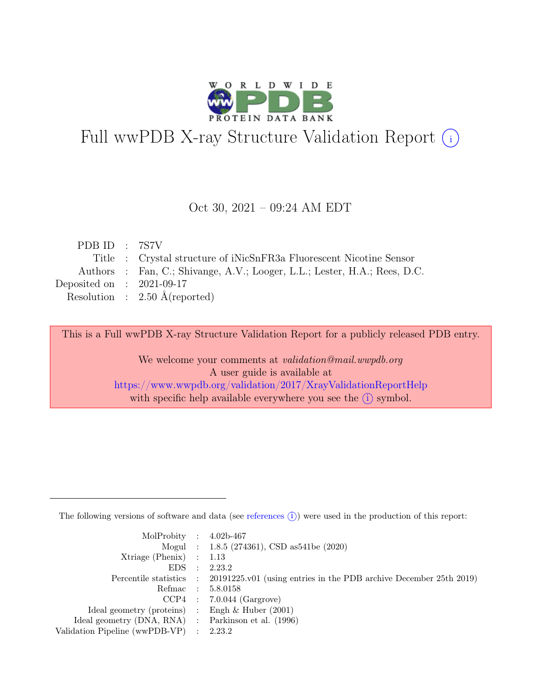

# Full wwPDB X-ray Structure Validation Report  $(i)$

#### Oct 30, 2021 – 09:24 AM EDT

| PDB ID : $7STV$             |                                                                           |
|-----------------------------|---------------------------------------------------------------------------|
|                             | Title : Crystal structure of iNicSnFR3a Fluorescent Nicotine Sensor       |
|                             | Authors : Fan, C.; Shivange, A.V.; Looger, L.L.; Lester, H.A.; Rees, D.C. |
| Deposited on : $2021-09-17$ |                                                                           |
|                             | Resolution : $2.50 \text{ Å}$ (reported)                                  |
|                             |                                                                           |

This is a Full wwPDB X-ray Structure Validation Report for a publicly released PDB entry.

We welcome your comments at validation@mail.wwpdb.org A user guide is available at <https://www.wwpdb.org/validation/2017/XrayValidationReportHelp> with specific help available everywhere you see the  $(i)$  symbol.

The following versions of software and data (see [references](https://www.wwpdb.org/validation/2017/XrayValidationReportHelp#references)  $(i)$ ) were used in the production of this report:

| MolProbity : $4.02b-467$                            |           |                                                                                            |
|-----------------------------------------------------|-----------|--------------------------------------------------------------------------------------------|
|                                                     |           | Mogul : 1.8.5 (274361), CSD as 541 be (2020)                                               |
| $Xtriangle (Phenix)$ : 1.13                         |           |                                                                                            |
| EDS                                                 | $\cdot$ : | 2.23.2                                                                                     |
|                                                     |           | Percentile statistics : 20191225.v01 (using entries in the PDB archive December 25th 2019) |
| Refmac : 5.8.0158                                   |           |                                                                                            |
|                                                     |           | $CCP4$ : 7.0.044 (Gargrove)                                                                |
| Ideal geometry (proteins) : Engh $\&$ Huber (2001)  |           |                                                                                            |
| Ideal geometry (DNA, RNA) : Parkinson et al. (1996) |           |                                                                                            |
| Validation Pipeline (wwPDB-VP) : 2.23.2             |           |                                                                                            |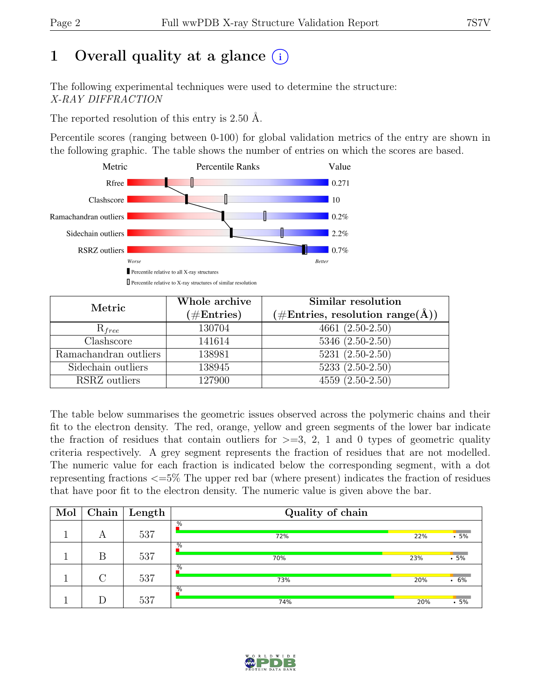## 1 Overall quality at a glance  $(i)$

The following experimental techniques were used to determine the structure: X-RAY DIFFRACTION

The reported resolution of this entry is 2.50 Å.

Percentile scores (ranging between 0-100) for global validation metrics of the entry are shown in the following graphic. The table shows the number of entries on which the scores are based.



| Metric                | Whole archive<br>$(\#Entries)$ | Similar resolution<br>$(\# \text{Entries}, \text{ resolution } \text{range}(\AA))$ |  |  |
|-----------------------|--------------------------------|------------------------------------------------------------------------------------|--|--|
| $R_{free}$            | 130704                         | $4661(2.50-2.50)$                                                                  |  |  |
| Clashscore            | 141614                         | $5346(2.50-2.50)$                                                                  |  |  |
| Ramachandran outliers | 138981                         | $5231 (2.50 - 2.50)$                                                               |  |  |
| Sidechain outliers    | 138945                         | $5233(2.50-2.50)$                                                                  |  |  |
| RSRZ outliers         | 127900                         | $4559(2.50-2.50)$                                                                  |  |  |

The table below summarises the geometric issues observed across the polymeric chains and their fit to the electron density. The red, orange, yellow and green segments of the lower bar indicate the fraction of residues that contain outliers for  $\geq$ =3, 2, 1 and 0 types of geometric quality criteria respectively. A grey segment represents the fraction of residues that are not modelled. The numeric value for each fraction is indicated below the corresponding segment, with a dot representing fractions <=5% The upper red bar (where present) indicates the fraction of residues that have poor fit to the electron density. The numeric value is given above the bar.

| Mol | Chain  | Length | Quality of chain     |     |              |  |  |
|-----|--------|--------|----------------------|-----|--------------|--|--|
|     | А      | 537    | %<br>72%             | 22% | $-5%$        |  |  |
|     | В      | 537    | $\frac{1}{2}$<br>70% | 23% | $.5\%$       |  |  |
|     | $\cap$ | 537    | $\frac{9}{6}$<br>73% | 20% | $\cdot\ 6\%$ |  |  |
|     |        | 537    | %<br>74%             | 20% | .5%          |  |  |

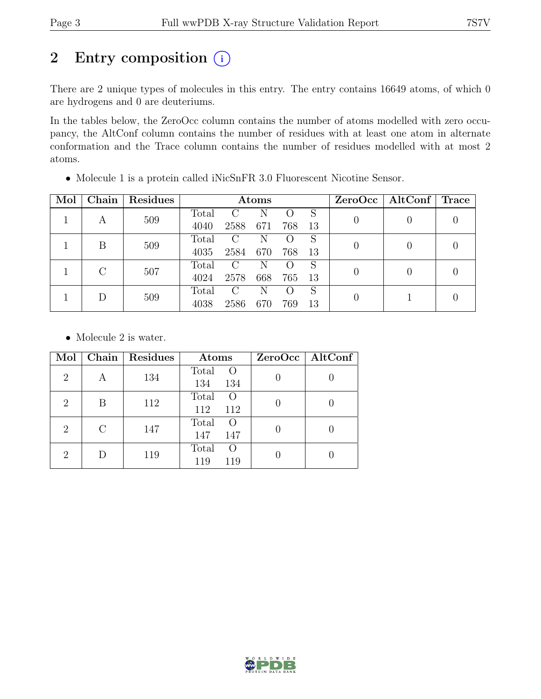## 2 Entry composition  $(i)$

There are 2 unique types of molecules in this entry. The entry contains 16649 atoms, of which 0 are hydrogens and 0 are deuteriums.

In the tables below, the ZeroOcc column contains the number of atoms modelled with zero occupancy, the AltConf column contains the number of residues with at least one atom in alternate conformation and the Trace column contains the number of residues modelled with at most 2 atoms.

| Mol | Chain | Residues | Atoms         |               |     |     |    |  | $ZeroOcc \mid AltConf \mid$ | $\operatorname{Trace}$ |
|-----|-------|----------|---------------|---------------|-----|-----|----|--|-----------------------------|------------------------|
|     |       |          | Total         | $\Gamma$      | Ñ   |     | S  |  |                             |                        |
|     | А     | 509      | 4040          | 2588          | 671 | 768 | 13 |  |                             |                        |
|     | В     | 509      | Total         | $\mathcal{C}$ | N   |     | S  |  |                             |                        |
|     |       |          | 4035          | 2584          | 670 | 768 | 13 |  |                             |                        |
|     |       |          | Total         | $\mathcal{C}$ | N   |     | S  |  |                             |                        |
|     | 507   | 4024     | 2578          | 668           | 765 | 13  |    |  |                             |                        |
|     |       | Total    | $\mathcal{C}$ | N             |     | S   |    |  |                             |                        |
|     | 509   | 4038     | 2586          | 670           | 769 | 13  |    |  |                             |                        |

• Molecule 1 is a protein called iNicSnFR 3.0 Fluorescent Nicotine Sensor.

• Molecule 2 is water.

| Mol                         | Chain     | Residues | Atoms                                   | ZeroOcc   AltConf |
|-----------------------------|-----------|----------|-----------------------------------------|-------------------|
| $\overline{2}$              | А         | 134      | Total<br>$\Omega$<br>134<br>134         |                   |
| $\overline{2}$              | В         | 112      | Total<br>$\left( \right)$<br>112<br>112 |                   |
| $\overline{2}$              | $\bigcap$ | 147      | Total<br>$\left( \right)$<br>147<br>147 |                   |
| $\mathcal{D}_{\mathcal{L}}$ |           | 119      | Total<br>$\left( \right)$<br>119<br>119 |                   |

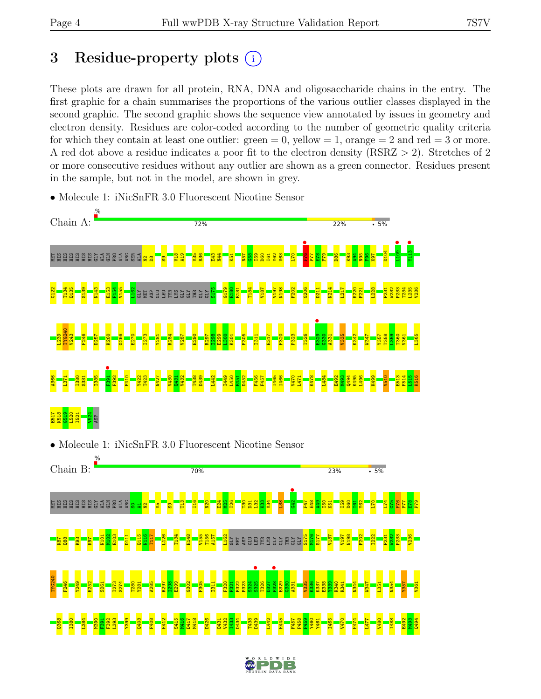## 3 Residue-property plots  $(i)$

These plots are drawn for all protein, RNA, DNA and oligosaccharide chains in the entry. The first graphic for a chain summarises the proportions of the various outlier classes displayed in the second graphic. The second graphic shows the sequence view annotated by issues in geometry and electron density. Residues are color-coded according to the number of geometric quality criteria for which they contain at least one outlier:  $green = 0$ , yellow  $= 1$ , orange  $= 2$  and red  $= 3$  or more. A red dot above a residue indicates a poor fit to the electron density (RSRZ > 2). Stretches of 2 or more consecutive residues without any outlier are shown as a green connector. Residues present in the sample, but not in the model, are shown in grey.



• Molecule 1: iNicSnFR 3.0 Fluorescent Nicotine Sensor

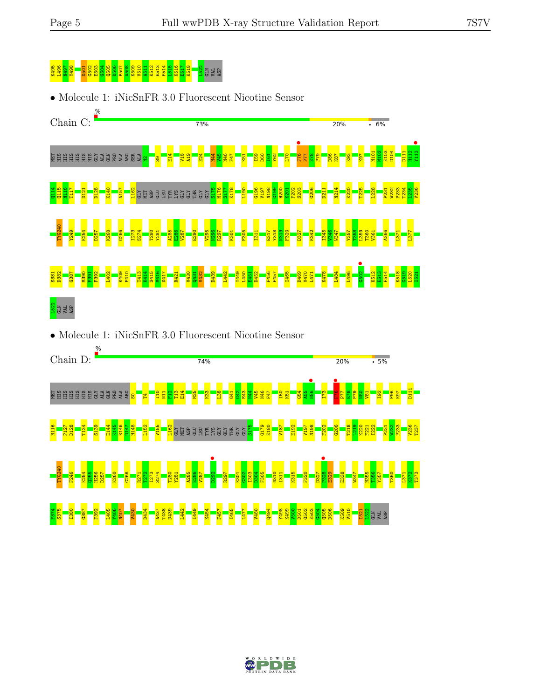# K49<mark>5 S60 N</mark>502 G503 S502 E503 G505 P507 A508 <mark>B50 B510 A5</mark>13 E51<br><mark>S505 S61</mark> B508 B516 E518 E512 E512 E512 E512 E51

• Molecule 1: iNicSnFR 3.0 Fluorescent Nicotine Sensor



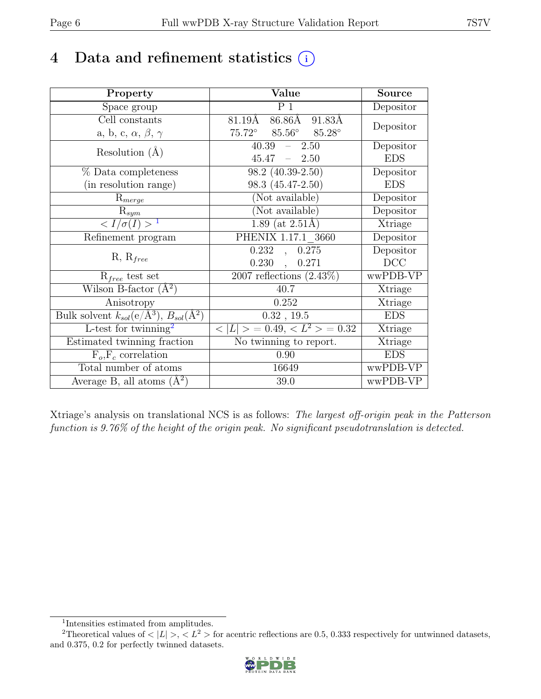## 4 Data and refinement statistics  $(i)$

| Property                                                         | Value                                            | <b>Source</b>  |
|------------------------------------------------------------------|--------------------------------------------------|----------------|
| Space group                                                      | $\overline{P1}$                                  | Depositor      |
| Cell constants                                                   | 86.86Å 91.83Å<br>$81.19\text{\AA}$               | Depositor      |
| a, b, c, $\alpha$ , $\beta$ , $\gamma$                           | $75.72^\circ$<br>$85.56^{\circ}$ $85.28^{\circ}$ |                |
| Resolution $(A)$                                                 | 40.39<br>$-2.50$                                 | Depositor      |
|                                                                  | $45.47 - 2.50$                                   | <b>EDS</b>     |
| $%$ Data completeness                                            | $98.2(40.39-2.50)$                               | Depositor      |
| (in resolution range)                                            | 98.3 (45.47-2.50)                                | <b>EDS</b>     |
| $R_{merge}$                                                      | (Not available)                                  | Depositor      |
| $\mathrm{R}_{sym}$                                               | (Not available)                                  | Depositor      |
| $\langle I/\sigma(I) \rangle$ <sup>1</sup>                       | 1.89 (at $2.51\text{\AA}$ )                      | Xtriage        |
| Refinement program                                               | PHENIX 1.17.1 3660                               | Depositor      |
| $R, R_{free}$                                                    | 0.232<br>0.275<br>$\overline{\phantom{a}}$       | Depositor      |
|                                                                  | 0.230<br>0.271<br>$\ddot{\phantom{a}}$           | DCC            |
| $R_{free}$ test set                                              | 2007 reflections $(2.43\%)$                      | wwPDB-VP       |
| Wilson B-factor $(A^2)$                                          | 40.7                                             | Xtriage        |
| Anisotropy                                                       | 0.252                                            | Xtriage        |
| Bulk solvent $k_{sol}(\text{e}/\text{A}^3), B_{sol}(\text{A}^2)$ | 0.32, 19.5                                       | <b>EDS</b>     |
| L-test for $\overline{\text{twinning}}^2$                        | $< L >$ = 0.49, $< L^2 >$ = 0.32                 | <b>Xtriage</b> |
| Estimated twinning fraction                                      | No twinning to report.                           | Xtriage        |
| $F_o, F_c$ correlation                                           | 0.90                                             | <b>EDS</b>     |
| Total number of atoms                                            | 16649                                            | wwPDB-VP       |
| Average B, all atoms $(A^2)$                                     | 39.0                                             | wwPDB-VP       |

Xtriage's analysis on translational NCS is as follows: The largest off-origin peak in the Patterson function is 9.76% of the height of the origin peak. No significant pseudotranslation is detected.

<sup>&</sup>lt;sup>2</sup>Theoretical values of  $\langle |L| \rangle$ ,  $\langle L^2 \rangle$  for acentric reflections are 0.5, 0.333 respectively for untwinned datasets, and 0.375, 0.2 for perfectly twinned datasets.



<span id="page-5-1"></span><span id="page-5-0"></span><sup>1</sup> Intensities estimated from amplitudes.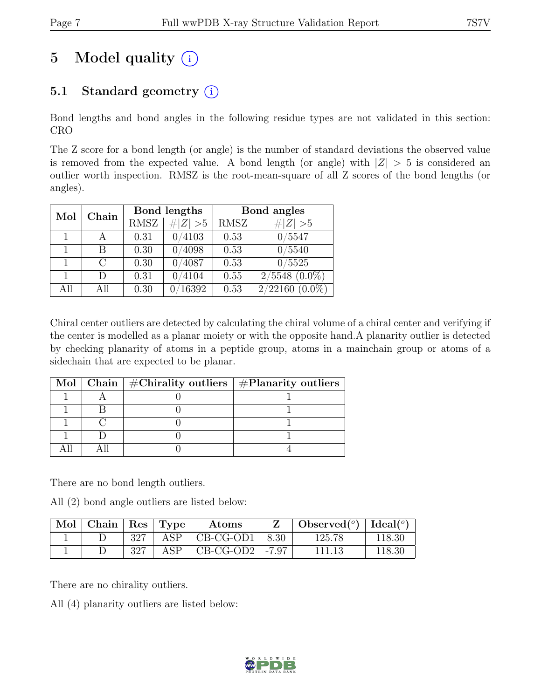## 5 Model quality  $(i)$

## 5.1 Standard geometry  $(i)$

Bond lengths and bond angles in the following residue types are not validated in this section: CRO

The Z score for a bond length (or angle) is the number of standard deviations the observed value is removed from the expected value. A bond length (or angle) with  $|Z| > 5$  is considered an outlier worth inspection. RMSZ is the root-mean-square of all Z scores of the bond lengths (or angles).

|     | Chain         |             | Bond lengths | Bond angles |                    |  |
|-----|---------------|-------------|--------------|-------------|--------------------|--|
| Mol |               | <b>RMSZ</b> | $\# Z  > 5$  | RMSZ        | $\# Z  > 5$        |  |
|     |               | 0.31        | 0/4103       | 0.53        | 0/5547             |  |
|     | В             | 0.30        | 4098         | 0.53        | 0/5540             |  |
|     | $\mathcal{C}$ | 0.30        | 0/4087       | 0.53        | 0/5525             |  |
|     | $\Box$        | 0.31        | 4104         | 0.55        | $2/5548$ $(0.0\%)$ |  |
| All | All           | 0.30        | 16392        | 0.53        | $2/22160(0.0\%)$   |  |

Chiral center outliers are detected by calculating the chiral volume of a chiral center and verifying if the center is modelled as a planar moiety or with the opposite hand.A planarity outlier is detected by checking planarity of atoms in a peptide group, atoms in a mainchain group or atoms of a sidechain that are expected to be planar.

|  | Mol   Chain   $\#\text{Chirality outliers}$   $\#\text{Planarity outliers}$ |
|--|-----------------------------------------------------------------------------|
|  |                                                                             |
|  |                                                                             |
|  |                                                                             |
|  |                                                                             |
|  |                                                                             |

There are no bond length outliers.

All (2) bond angle outliers are listed below:

| $\mathbf{Mod} \mid \mathbf{Chain} \mid \mathbf{Res} \mid \mathbf{Type}$ |     |     | Atoms                        |      | Observed( $^o$ )   Ideal( $^o$ ) |        |
|-------------------------------------------------------------------------|-----|-----|------------------------------|------|----------------------------------|--------|
|                                                                         | 327 | ASP | CB-CG-OD1                    | 8.30 | 125.78                           | 118.30 |
|                                                                         | 327 | ASP | $\overline{CB-CG-OD2}$ -7.97 |      |                                  | 118.30 |

There are no chirality outliers.

All (4) planarity outliers are listed below:

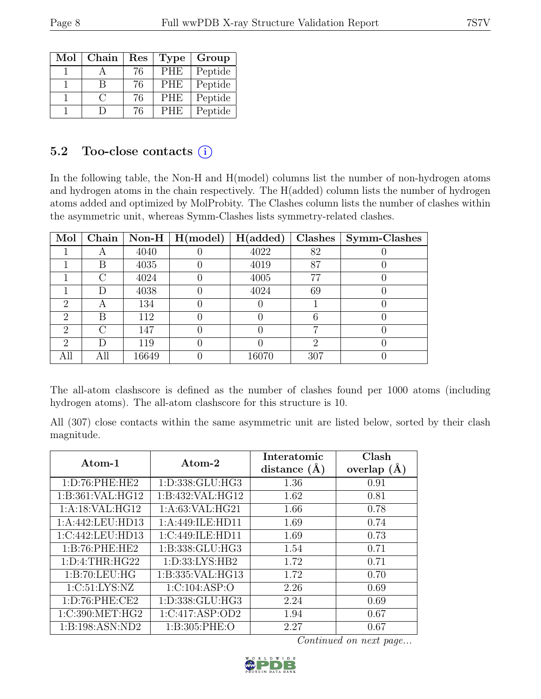| Mol | Chain  | Res | <b>Type</b> | Group   |
|-----|--------|-----|-------------|---------|
|     |        | 76  | <b>PHE</b>  | Peptide |
|     | R      | 76  | <b>PHE</b>  | Peptide |
|     | $\cap$ | 76  | <b>PHE</b>  | Peptide |
|     |        | 76  | <b>PHE</b>  | Peptide |

## 5.2 Too-close contacts  $(i)$

In the following table, the Non-H and H(model) columns list the number of non-hydrogen atoms and hydrogen atoms in the chain respectively. The H(added) column lists the number of hydrogen atoms added and optimized by MolProbity. The Clashes column lists the number of clashes within the asymmetric unit, whereas Symm-Clashes lists symmetry-related clashes.

| Mol                         | Chain  |       | Non-H $\mid$ H(model) | H(added) | Clashes | Symm-Clashes |
|-----------------------------|--------|-------|-----------------------|----------|---------|--------------|
|                             |        | 4040  |                       | 4022     | 82      |              |
|                             | В      | 4035  |                       | 4019     | 87      |              |
|                             | r      | 4024  |                       | 4005     | 77      |              |
|                             | D      | 4038  |                       | 4024     | 69      |              |
| 2                           | А      | 134   |                       |          |         |              |
| $\mathcal{D}_{\mathcal{A}}$ | В      | 112   |                       |          |         |              |
| $\mathcal{D}_{\mathcal{L}}$ | $\cap$ | 147   |                       |          |         |              |
| $\mathcal{D}_{\mathcal{L}}$ | D      | 119   |                       |          | റ       |              |
| All                         | All    | 16649 |                       | 16070    | 307     |              |

The all-atom clashscore is defined as the number of clashes found per 1000 atoms (including hydrogen atoms). The all-atom clashscore for this structure is 10.

All (307) close contacts within the same asymmetric unit are listed below, sorted by their clash magnitude.

| Atom-1             | Atom-2              | Interatomic<br>distance $(A)$ | Clash<br>overlap $(A)$ |
|--------------------|---------------------|-------------------------------|------------------------|
| 1: D:76: PHE:HE2   | 1:D:338:GLU:HG3     | 1.36                          | 0.91                   |
| 1:B:361:VAL:HG12   | 1:B:432:VAL:HG12    | 1.62                          | 0.81                   |
| 1:A:18:VAL:HG12    | 1: A:63: VAL: HG21  | 1.66                          | 0.78                   |
| 1:A:442:LEU:HD13   | 1:A:449:ILE:HD11    | 1.69                          | 0.74                   |
| 1:C:442:LEU:HD13   | 1:C:449:ILE:HD11    | 1.69                          | 0.73                   |
| 1:B:76:PHE:HE2     | 1:B:338:GLU:HG3     | 1.54                          | 0.71                   |
| 1: D: 4: THR: HG22 | 1: D: 33: LYS: HB2  | 1.72                          | 0.71                   |
| 1:B:70:LEU:HG      | 1:B:335:VAL:HG13    | 1.72                          | 0.70                   |
| 1:C:51:LYS:NZ      | 1:C:104:ASP:O       | 2.26                          | 0.69                   |
| 1: D:76: PHE:CE2   | 1: D: 338: GLU: HG3 | 2.24                          | 0.69                   |
| 1:C:390:MET:HG2    | 1:C:417:ASP:OD2     | 1.94                          | 0.67                   |
| 1:B:198:ASN:ND2    | 1: B:305: PHE:O     | 2.27                          | 0.67                   |

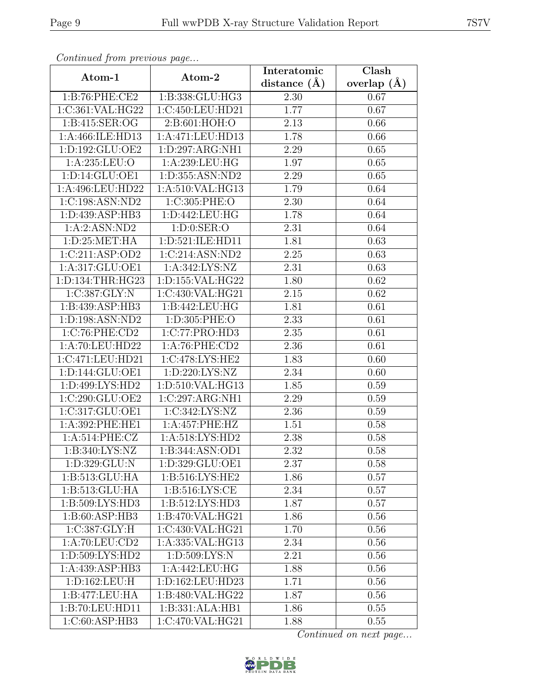| Communica from previous page |                     | Interatomic       | Clash         |  |
|------------------------------|---------------------|-------------------|---------------|--|
| Atom-1                       | Atom-2              | distance $(\AA)$  | overlap $(A)$ |  |
| 1:B:76:PHE:CE2               | 1:B:338:GLU:HG3     | 2.30              | 0.67          |  |
| 1:C:361:VAL:HG22             | 1:C:450:LEU:HD21    | 1.77              | 0.67          |  |
| 1: B:415: SER:OG             | 2:B:601:HOH:O       | 2.13              | 0.66          |  |
| 1:A:466:ILE:HD13             | 1:A:471:LEU:HD13    | 1.78              | 0.66          |  |
| 1:D:192:GLU:OE2              | 1:D:297:ARG:NH1     | 2.29              | 0.65          |  |
| 1:A:235:LEU:O                | 1:A:239:LEU:HG      | 1.97              | 0.65          |  |
| 1:D:14:GLU:OE1               | 1:D:355:ASN:ND2     | 2.29              | 0.65          |  |
| 1:A:496:LEU:HD22             | 1: A:510: VAL: HG13 | 1.79              | 0.64          |  |
| 1:C:198:ASN:ND2              | 1:C:305:PHE:O       | 2.30              | 0.64          |  |
| 1:D:439:ASP:HB3              | 1:D:442:LEU:HG      | 1.78              | 0.64          |  |
| 1:A:2:ASN:ND2                | 1: D: 0: SER: O     | 2.31              | 0.64          |  |
| 1: D:25: MET:HA              | 1:D:521:ILE:HD11    | 1.81              | 0.63          |  |
| 1:C:211:ASP:OD2              | 1:C:214:ASN:ND2     | 2.25              | 0.63          |  |
| 1:A:317:GLU:OE1              | 1:A:342:LYS:NZ      | 2.31              | 0.63          |  |
| 1:D:134:THR:HG23             | 1:D:155:VAL:HG22    | 1.80              | 0.62          |  |
| 1:C:387:GLY:N                | 1:C:430:VAL:HG21    | 2.15              | 0.62          |  |
| 1:B:439:ASP:HB3              | 1:B:442:LEU:HG      | 1.81              | 0.61          |  |
| 1:D:198:ASN:ND2              | 1:D:305:PHE:O       | 2.33              | 0.61          |  |
| 1:C:76:PHE:CD2               | 1:C:77:PRO:HD3      | 2.35              | 0.61          |  |
| 1:A:70:LEU:HD22              | 1:A:76:PHE:CD2      | 2.36              | 0.61          |  |
| 1:C:471:LEU:HD21             | 1:C:478:LYS:HE2     | 1.83              | 0.60          |  |
| 1:D:144:GLU:OE1              | 1: D: 220: LYS: NZ  | 2.34              | 0.60          |  |
| 1:D:499:LYS:HD2              | 1:D:510:VAL:HG13    | 1.85              | 0.59          |  |
| 1:C:290:GLU:OE2              | 1:C:297:ARG:NH1     | $\overline{2.29}$ | 0.59          |  |
| 1:C:317:GLU:OE1              | 1:C:342:LYS:NZ      | 2.36              | 0.59          |  |
| 1:A:392:PHE:HE1              | 1:A:457:PHE:HZ      | 1.51              | 0.58          |  |
| 1:A:514:PHE:CZ               | 1: A:518: LYS: HD2  | 2.38              | 0.58          |  |
| 1: B:340: LYS: NZ            | 1:B:344:ASN:OD1     | 2.32              | 0.58          |  |
| 1:D:329:GLU:N                | 1:D:329:GLU:OE1     | 2.37              | 0.58          |  |
| 1:B:513:GLU:HA               | 1:B:516:LYS:HE2     | 1.86              | 0.57          |  |
| 1:B:513:GLU:HA               | 1: B:516: LYS: CE   | 2.34              | 0.57          |  |
| 1:B:509:LYS:HD3              | 1: B:512: LYS: HD3  | 1.87              | 0.57          |  |
| 1:B:60:ASP:HB3               | 1:B:470:VAL:HG21    | 1.86              | 0.56          |  |
| 1:C:387:GLY:H                | 1:C:430:VAL:HG21    | 1.70              | 0.56          |  |
| 1: A:70: LEU:CD2             | 1:A:335: VAL: HG13  | 2.34              | 0.56          |  |
| 1:D:509:LYS:HD2              | 1: D: 509: LYS: N   | 2.21              | 0.56          |  |
| 1:A:439:ASP:HB3              | 1:A:442:LEU:HG      | 1.88              | 0.56          |  |
| 1:D:162:LEU:H                | 1:D:162:LEU:HD23    | 1.71              | 0.56          |  |
| 1:B:477:LEU:HA               | 1:B:480:VAL:HG22    | 1.87              | 0.56          |  |
| 1:B:70:LEU:HD11              | 1:B:331:ALA:HB1     | 1.86              | 0.55          |  |
| 1:C:60:ASP:HB3               | 1:C:470:VAL:HG21    | 1.88              | 0.55          |  |

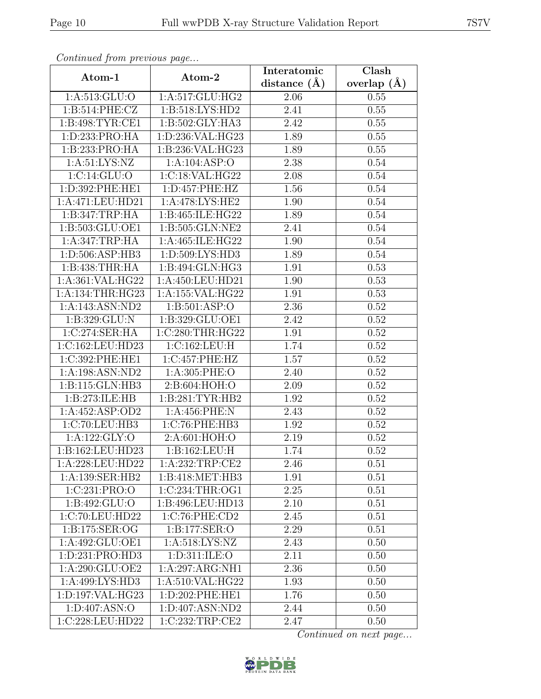| Continua from previous page |                               | Interatomic      | Clash<br>overlap $(A)$ |  |
|-----------------------------|-------------------------------|------------------|------------------------|--|
| Atom-1                      | Atom-2                        | distance $(\AA)$ |                        |  |
| 1:A:513:GLU:O               | 1:A:517:GLU:HG2               | 2.06             | 0.55                   |  |
| 1:B:514:PHE:CZ              | 1:B:518:LYS:HD2               | 2.41             | 0.55                   |  |
| 1: B:498: TYR: CE1          | 1:B:502:GLY:HA3               | 2.42             | 0.55                   |  |
| 1:D:233:PRO:HA              | 1:D:236:VAL:HG23              | 1.89             | 0.55                   |  |
| 1:B:233:PRO:HA              | 1: B: 236: VAL: HG23          | 1.89             | 0.55                   |  |
| 1: A:51: LYS: NZ            | 1:A:104:ASP:O                 | 2.38             | 0.54                   |  |
| 1:C:14:GLU:O                | 1:C:18:VAL:HG22               | 2.08             | 0.54                   |  |
| 1:D:392:PHE:HE1             | 1: D: 457: PHE: HZ            | 1.56             | 0.54                   |  |
| 1:A:471:LEU:HD21            | 1:A:478:LYS:HE2               | 1.90             | 0.54                   |  |
| 1:B:347:TRP:HA              | 1:B:465:ILE:HG22              | 1.89             | 0.54                   |  |
| 1:B:503:GLU:OE1             | 1:B:505:GLN:NE2               | 2.41             | 0.54                   |  |
| 1:A:347:TRP:HA              | 1:A:465:ILE:HG22              | 1.90             | 0.54                   |  |
| 1:D:506:ASP:HB3             | 1:D:509:LYS:HD3               | 1.89             | 0.54                   |  |
| 1:B:438:THR:HA              | 1:B:494:GLN:HG3               | 1.91             | 0.53                   |  |
| 1:A:361:VAL:HG22            | 1:A:450:LEU:HD21              | 1.90             | 0.53                   |  |
| 1:A:134:THR:HG23            | 1:A:155:VAL:HG22              | 1.91             | 0.53                   |  |
| 1:A:143:ASN:ND2             | 1:B:501:ASP:O                 | 2.36             | 0.52                   |  |
| 1: B: 329: GLU: N           | 1:B:329:GLU:OE1               | 2.42             | 0.52                   |  |
| 1:C:274:SER:HA              | 1:C:280:THR:HG22              | 1.91             | 0.52                   |  |
| 1:C:162:LEU:HD23            | 1:C:162:LEU:H                 | 1.74             | 0.52                   |  |
| 1:C:392:PHE:HE1             | 1:C:457:PHE:HZ                | 1.57             | 0.52                   |  |
| 1:A:198:ASN:ND2             | 1:A:305:PHE:O                 | 2.40             | 0.52                   |  |
| 1:B:115:GLN:HB3             | 2:B:604:HOH:O                 | 2.09             | 0.52                   |  |
| 1:B:273:ILE:HB              | 1: B:281: TYR: HB2            | 1.92             | 0.52                   |  |
| 1:A:452:ASP:OD2             | 1:A:456:PHE:N                 | 2.43             | 0.52                   |  |
| 1:C:70:LEU:HB3              | 1:C:76:PHE:HB3                | 1.92             | 0.52                   |  |
| 1:A:122:GLY:O               | 2:A:601:HOH:O                 | 2.19             | 0.52                   |  |
| 1:B:162:LEU:HD23            | 1:B:162:LEU:H                 | 1.74             | 0.52                   |  |
| 1:A:228:LEU:HD22            | 1:A:232:TRP:CE2               | 2.46             | 0.51                   |  |
| 1:A:139:SER:HB2             | 1:B:418:MET:HB3               | 1.91             | 0.51                   |  |
| 1:C:231:PRO:O               | 1:C:234:THR:OG1               | 2.25             | 0.51                   |  |
| 1:B:492:GLU:O               | 1:B:496:LEU:HD13              | 2.10             | 0.51                   |  |
| 1:C:70:LEU:HD22             | 1:C:76:PHE:CD2                | 2.45             | 0.51                   |  |
| 1:B:175:SER:OG              | 1:B:177:SER:O                 | 2.29             | 0.51                   |  |
| 1:A:492:GLU:OE1             | 1:A:518:LYS:NZ                | 2.43             | 0.50                   |  |
| 1:D:231:PRO:HD3             | 1:D:311:ILE:O                 | 2.11             | 0.50                   |  |
| 1:A:290:GLU:OE2             | 1:A:297:ARG:NH1               | 2.36             | 0.50                   |  |
| 1:A:499:LYS:HD3             | $1:A:510:\overline{VAL:HG22}$ | 1.93             | 0.50                   |  |
| 1:D:197:VAL:HG23            | 1:D:202:PHE:HE1               | 1.76             | 0.50                   |  |
| 1: D:407: ASN:O             | 1:D:407:ASN:ND2               | 2.44             | 0.50                   |  |
| 1:C:228:LEU:HD22            | 1:C:232:TRP:CE2               | 2.47             | 0.50                   |  |

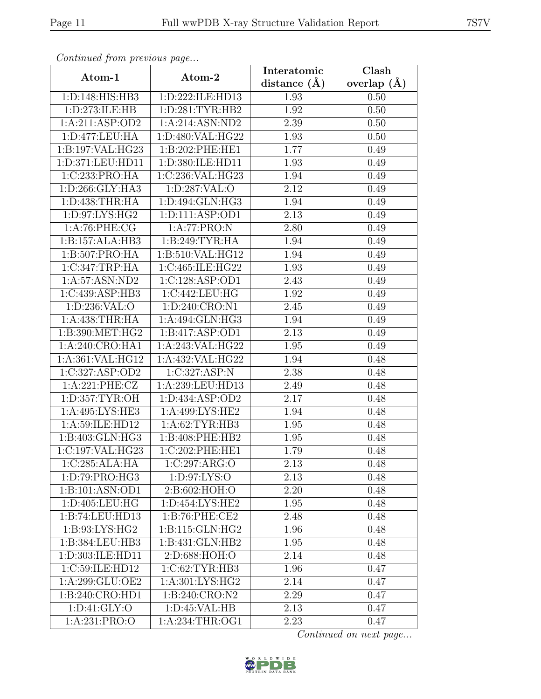| Continua from previous page |                   | Interatomic       | Clash<br>overlap $(A)$ |  |
|-----------------------------|-------------------|-------------------|------------------------|--|
| Atom-1                      | Atom-2            | distance $(A)$    |                        |  |
| 1:D:148:HIS:HB3             | 1:D:222:ILE:HD13  | 1.93              | 0.50                   |  |
| 1:D:273:ILE:HB              | 1: D:281: TYR:HB2 | 1.92              | 0.50                   |  |
| 1:A:211:ASP:OD2             | 1:A:214:ASN:ND2   | 2.39              | 0.50                   |  |
| 1:D:477:LEU:HA              | 1:D:480:VAL:HG22  | 1.93              | 0.50                   |  |
| 1:B:197:VAL:HG23            | 1: B:202: PHE:HE1 | 1.77              | 0.49                   |  |
| 1:D:371:LEU:HD11            | 1:D:380:ILE:HD11  | 1.93              | 0.49                   |  |
| 1:C:233:PRO:HA              | 1:C:236:VAL:HG23  | 1.94              | 0.49                   |  |
| 1:D:266:GLY:HA3             | 1:D:287:VAL:O     | 2.12              | 0.49                   |  |
| 1: D: 438: THR: HA          | 1:D:494:GLN:HG3   | 1.94              | 0.49                   |  |
| 1:D:97:LYS:HG2              | 1:D:111:ASP:OD1   | 2.13              | 0.49                   |  |
| 1: A:76: PHE: CG            | 1:A:77:PRO:N      | 2.80              | 0.49                   |  |
| 1:B:157:ALA:HB3             | 1:B:249:TYR:HA    | 1.94              | 0.49                   |  |
| 1:B:507:PRO:HA              | 1:B:510:VAL:HG12  | 1.94              | 0.49                   |  |
| 1:C:347:TRP:HA              | 1:C:465:ILE:HG22  | 1.93              | 0.49                   |  |
| 1:A:57:ASN:ND2              | 1:C:128:ASP:OD1   | 2.43              | 0.49                   |  |
| 1:C:439:ASP:HB3             | 1:C:442:LEU:HG    | 1.92              | 0.49                   |  |
| 1:D:236:VAL:O               | 1:D:240:CRO:N1    | 2.45              | 0.49                   |  |
| 1: A:438:THR:HA             | 1:A:494:GLN:HG3   | 1.94              | 0.49                   |  |
| 1:B:390:MET:HG2             | 1:B:417:ASP:OD1   | $\overline{2.13}$ | 0.49                   |  |
| 1:A:240:CRO:HA1             | 1:A:243:VAL:HG22  | 1.95              | 0.49                   |  |
| 1:A:361:VAL:HG12            | 1:A:432:VAL:HG22  | 1.94              | 0.48                   |  |
| 1:C:327:ASP:OD2             | 1:C:327:ASP:N     | 2.38              | 0.48                   |  |
| 1:A:221:PHE:CZ              | 1:A:239:LEU:HD13  | 2.49              | 0.48                   |  |
| 1:D:357:TYR:OH              | 1:D:434:ASP:OD2   | 2.17              | 0.48                   |  |
| 1:A:495:LYS:HE3             | 1:A:499:LYS:HE2   | 1.94              | 0.48                   |  |
| 1:A:59:ILE:HD12             | 1: A:62:TYR:HB3   | 1.95              | 0.48                   |  |
| 1:B:403:GLN:HG3             | 1:B:408:PHE:HB2   | 1.95              | 0.48                   |  |
| 1:C:197:VAL:HG23            | 1:C:202:PHE:HE1   | 1.79              | 0.48                   |  |
| 1:C:285:ALA:HA              | 1:C:297:ARG:O     | 2.13              | 0.48                   |  |
| 1:D:79:PRO:HG3              | 1: D:97: LYS:O    | 2.13              | 0.48                   |  |
| 1:B:101:ASN:OD1             | 2:B:602:HOH:O     | 2.20              | 0.48                   |  |
| 1:D:405:LEU:HG              | 1:D:454:LYS:HE2   | 1.95              | 0.48                   |  |
| 1:B:74:LEU:HD13             | 1:B:76:PHE:CE2    | 2.48              | 0.48                   |  |
| 1:B:93:LYS:HG2              | 1:B:115:GLN:HG2   | 1.96              | 0.48                   |  |
| 1:B:384:LEU:HB3             | 1:B:431:GLN:HB2   | 1.95              | 0.48                   |  |
| 1:D:303:ILE:HD11            | 2:D:688:HOH:O     | 2.14              | 0.48                   |  |
| 1:C:59:ILE:HD12             | 1:C:62:TYR:HB3    | 1.96              | 0.47                   |  |
| 1:A:299:GLU:OE2             | 1:A:301:LYS:HG2   | 2.14              | 0.47                   |  |
| 1: B:240: CRO: HDI          | 1:B:240:CRO:N2    | 2.29              | 0.47                   |  |
| 1: D: 41: GLY: O            | 1: D: 45: VAL: HB | 2.13              | 0.47                   |  |
| 1:A:231:PRO:O               | 1: A:234:THR:OG1  | 2.23              | 0.47                   |  |

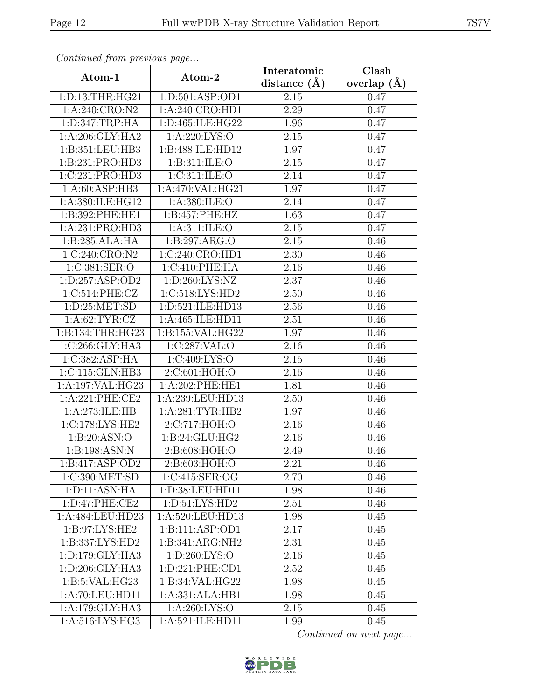| Continuea from previous page |                                                            | Interatomic       | Clash<br>overlap $(A)$ |  |
|------------------------------|------------------------------------------------------------|-------------------|------------------------|--|
| Atom-1                       | Atom-2                                                     | distance $(\AA)$  |                        |  |
| 1: D: 13: THR: HG21          | 1:D:501:ASP:OD1                                            | 2.15              | 0.47                   |  |
| 1:A:240:CRO:N2               | 1: A:240: CRO: HD1                                         | 2.29              | 0.47                   |  |
| 1: D: 347: TRP: HA           | 1:D:465:ILE:HG22                                           | 1.96              | 0.47                   |  |
| 1:A:206:GLY:HA2              | 1:A:220:LYS:O                                              | 2.15              | 0.47                   |  |
| 1:B:351:LEU:HB3              | 1:B:488:ILE:HD12                                           | 1.97              | 0.47                   |  |
| 1:B:231:PRO:HD3              | 1:B:311:ILE:O                                              | 2.15              | 0.47                   |  |
| 1:C:231:PRO:HD3              | 1:C:311:ILE:O                                              | 2.14              | 0.47                   |  |
| 1: A:60: ASP:HB3             | 1:A:470:VAL:HG21                                           | 1.97              | 0.47                   |  |
| 1:A:380:ILE:HG12             | 1: A:380: ILE:O                                            | 2.14              | 0.47                   |  |
| 1:B:392:PHE:HE1              | 1:B:457:PHE:HZ                                             | 1.63              | 0.47                   |  |
| 1:A:231:PRO:HD3              | 1: A:311: ILE: O                                           | 2.15              | 0.47                   |  |
| 1:B:285:ALA:HA               | 1:B:297:ARG:O                                              | 2.15              | 0.46                   |  |
| 1:C:240:CRO:N2               | 1:C:240:CRO:HD1                                            | 2.30              | 0.46                   |  |
| 1:C:381:SER:O                | 1:C:410:PHE:HA                                             | 2.16              | 0.46                   |  |
| 1: D: 257: ASP: OD2          | 1:D:260:LYS:NZ                                             | 2.37              | 0.46                   |  |
| 1:C:514:PHE:CZ               | 1:C:518:LYS:HD2                                            | 2.50              | 0.46                   |  |
| 1: D: 25: MET:SD             | 1:D:521:ILE:HD13                                           | 2.56              | 0.46                   |  |
| 1: A:62:TYR:CZ               | 1:A:465:ILE:HD11                                           | 2.51              | 0.46                   |  |
| 1:B:134:THR:HG23             | $1:B:155:\overline{\mathsf{VAL}}:\overline{\mathsf{HG22}}$ | 1.97              | 0.46                   |  |
| 1:C:266:GLY:HA3              | 1:C:287:VAL:O                                              | 2.16              | 0.46                   |  |
| 1:C:382:ASP:HA               | 1:C:409:LYS:O                                              | 2.15              | 0.46                   |  |
| 1: C: 115: GLN: HB3          | 2:C:601:HOH:O                                              | 2.16              | 0.46                   |  |
| 1:A:197:VAL:HG23             | 1:A:202:PHE:HE1                                            | 1.81              | 0.46                   |  |
| 1:A:221:PHE:CE2              | 1:A:239:LEU:HD13                                           | $\overline{2.50}$ | 0.46                   |  |
| 1:A:273:ILE:HB               | 1: A:281:TYR:HB2                                           | 1.97              | 0.46                   |  |
| 1:C:178:LYS:HE2              | 2:C:717:HOH:O                                              | 2.16              | 0.46                   |  |
| 1:B:20:ASN:O                 | 1:B:24:GLU:HG2                                             | 2.16              | 0.46                   |  |
| 1:B:198:ASN:N                | 2:B:608:HOH:O                                              | 2.49              | 0.46                   |  |
| 1:B:417:ASP:OD2              | 2:B:603:HOH:O                                              | 2.21              | 0.46                   |  |
| 1:C:390:MET:SD               | 1:C:415:SER:OG                                             | 2.70              | 0.46                   |  |
| 1: D: 11: ASN: HA            | 1:D:38:LEU:HD11                                            | 1.98              | 0.46                   |  |
| 1:D:47:PHE:CE2               | 1: D:51: LYS: HD2                                          | 2.51              | 0.46                   |  |
| 1:A:484:LEU:HD23             | 1:A:520:LEU:HD13                                           | 1.98              | 0.45                   |  |
| 1:B:97:LYS:HE2               | 1:B:111:ASP:OD1                                            | 2.17              | 0.45                   |  |
| 1:B:337:LYS:HD2              | 1:B:341:ARG:NH2                                            | 2.31              | 0.45                   |  |
| 1:D:179:GLY:HA3              | 1: D:260: LYS:O                                            | 2.16              | 0.45                   |  |
| 1:D:206:GLY:HA3              | 1: D: 221: PHE: CD1                                        | 2.52              | 0.45                   |  |
| 1:B:5:VAL:HG23               | 1:B:34:VAL:HG22                                            | 1.98              | 0.45                   |  |
| 1:A:70:LEU:HD11              | 1:A:331:ALA:HB1                                            | 1.98              | 0.45                   |  |
| 1:A:179:GLY:HA3              | 1:A:260:LYS:O                                              | 2.15              | 0.45                   |  |
| 1:A:516:LYS:HG3              | 1:A:521:ILE:HD11                                           | 1.99              | 0.45                   |  |

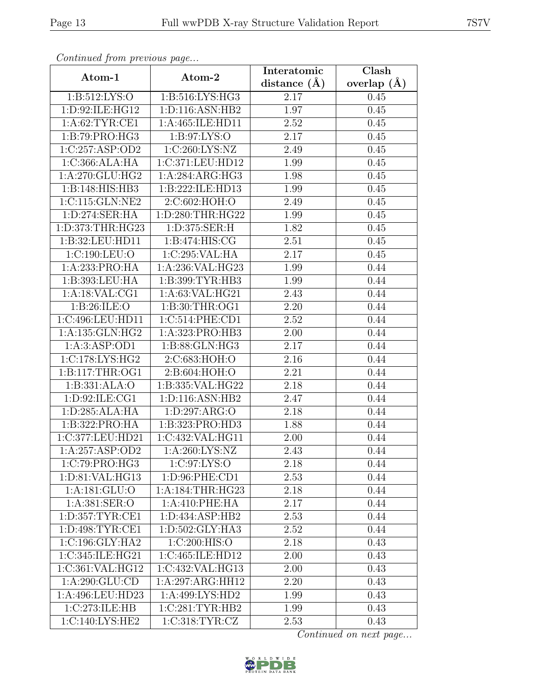| Continueu from pretious page |                                              | Interatomic       | Clash           |  |
|------------------------------|----------------------------------------------|-------------------|-----------------|--|
| Atom-1                       | Atom-2                                       | distance $(A)$    | overlap $(\AA)$ |  |
| 1: B:512: LYS:O              | 1:B:516:LYS:HG3                              | 2.17              | 0.45            |  |
| 1:D:92:ILE:HG12              | 1:D:116:ASN:HB2                              | 1.97              | 0.45            |  |
| 1: A:62:TYR:CE1              | 1:A:465:ILE:HD11                             | 2.52              | 0.45            |  |
| 1: B:79: PRO:HG3             | 1: B:97: LYS:O                               | 2.17              | 0.45            |  |
| 1:C:257:ASP:OD2              | 1:C:260:LYS:NZ                               | 2.49              | 0.45            |  |
| 1:C:366:ALA:HA               | 1:C:371:LEU:HD12                             | 1.99              | 0.45            |  |
| 1:A:270:GLU:HG2              | 1:A:284:ARG:HG3                              | 1.98              | 0.45            |  |
| 1:B:148:HIS:HB3              | 1:B:222:ILE:HD13                             | 1.99              | 0.45            |  |
| 1:C:115:GLN:NE2              | 2:C:602:HOH:O                                | 2.49              | 0.45            |  |
| 1:D:274:SER:HA               | 1:D:280:THR:HG22                             | 1.99              | 0.45            |  |
| 1:D:373:THR:HG23             | 1:D:375:SER:H                                | 1.82              | 0.45            |  |
| 1:B:32:LEU:HD11              | 1: B:474: HIS: CG                            | 2.51              | 0.45            |  |
| 1:C:190:LEU:O                | 1:C:295:VAL:HA                               | 2.17              | 0.45            |  |
| 1:A:233:PRO:HA               | 1:A:236:VAL:HG23                             | 1.99              | 0.44            |  |
| 1:B:393:LEU:HA               | 1:B:399:TYR:HB3                              | 1.99              | 0.44            |  |
| 1:A:18:VAL:CG1               | 1:A:63:VAL:HG21                              | 2.43              | 0.44            |  |
| 1:B:26:ILE:O                 | 1:B:30:THR:OG1                               | 2.20              | 0.44            |  |
| 1:C:496:LEU:HD11             | 1:C:514:PHE:CD1                              | 2.52              | 0.44            |  |
| 1:A:135:GLN:HG2              | 1:A:323:PRO:HB3                              | 2.00              | 0.44            |  |
| 1: A:3: ASP:OD1              | 1:B:88:GLN:HG3                               | 2.17              | 0.44            |  |
| 1:C:178:LYS:HG2              | 2:C:683:HOH:O                                | $\overline{2}.16$ | 0.44            |  |
| 1: B: 117: THR: OG1          | $2: B:604: \overline{HOH:O}$                 | 2.21              | 0.44            |  |
| 1:B:331:ALA:O                | 1:B:335:VAL:HG22                             | 2.18              | 0.44            |  |
| 1: D:92: ILE: CG1            | 1:D:116:ASN:HB2                              | 2.47              | 0.44            |  |
| 1:D:285:ALA:HA               | 1:D:297:ARG:O                                | 2.18              | 0.44            |  |
| 1:B:322:PRO:HA               | 1:B:323:PRO:HD3                              | 1.88              | 0.44            |  |
| 1:C:377:LEU:HD21             | 1:C:432:VAL:HG11                             | 2.00              | 0.44            |  |
| 1:A:257:ASP:OD2              | $1: A:260: \overline{\text{LYS}: \text{NZ}}$ | 2.43              | 0.44            |  |
| 1:C:79:PRO:HG3               | 1:C:97:LYS:O                                 | 2.18              | 0.44            |  |
| 1:D:81:VAL:HG13              | 1:D:96:PHE:CD1                               | 2.53              | 0.44            |  |
| 1:A:181:GLU:O                | 1:A:184:THR:HG23                             | 2.18              | 0.44            |  |
| 1:A:381:SER:O                | 1:A:410:PHE:HA                               | 2.17              | 0.44            |  |
| 1: D: 357: TYR: CE1          | 1: D: 434: ASP: HB2                          | 2.53              | 0.44            |  |
| 1: D:498: TYR: CE1           | 1:D:502:GLY:HA3                              | 2.52              | 0.44            |  |
| 1: C:196: GLY:HA2            | 1:C:200:HIS:O                                | 2.18              | 0.43            |  |
| 1:C:345:ILE:HG21             | 1:C:465:ILE:HD12                             | 2.00              | 0.43            |  |
| 1:C:361:VAL:HG12             | 1:C:432:VAL:HG13                             | 2.00              | 0.43            |  |
| 1:A:290:GLU:CD               | 1:A:297:ARG:HH12                             | 2.20              | 0.43            |  |
| 1:A:496:LEU:HD23             | 1:A:499:LYS:HD2                              | 1.99              | 0.43            |  |
| 1:C:273:ILE:HB               | 1:C:281:TYR:HB2                              | 1.99              | 0.43            |  |
| 1:C:140:LYS:HE2              | 1:C:318:TYR:CZ                               | 2.53              | 0.43            |  |

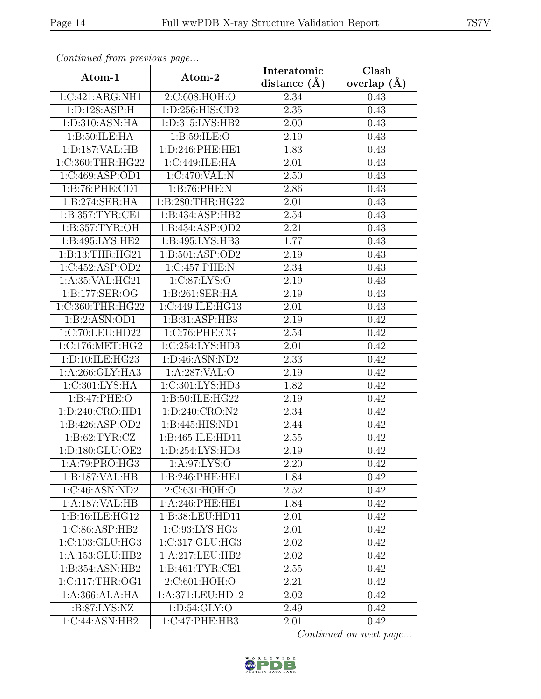| Continueu from pretious page |                     | Interatomic    | Clash           |  |
|------------------------------|---------------------|----------------|-----------------|--|
| Atom-1                       | Atom-2              | distance $(A)$ | overlap $(\AA)$ |  |
| 1:C:421:ARG:NH1              | 2:C:608:HOH:O       | 2.34           | 0.43            |  |
| 1: D: 128: ASP: H            | 1:D:256:HIS:CD2     | 2.35           | 0.43            |  |
| 1: D:310: ASN: HA            | 1:D:315:LYS:HB2     | 2.00           | 0.43            |  |
| 1: B:50: ILE: HA             | 1:B:59:ILE:O        | 2.19           | 0.43            |  |
| 1: D: 187: VAL: HB           | 1:D:246:PHE:HE1     | 1.83           | 0.43            |  |
| 1:C:360:THR:HG22             | 1:C:449:ILE:HA      | 2.01           | 0.43            |  |
| 1:C:469:ASP:OD1              | 1:C:470:VAL:N       | 2.50           | 0.43            |  |
| 1:B:76:PHE:CD1               | 1:B:76:PHE:N        | 2.86           | 0.43            |  |
| 1:B:274:SER:HA               | 1:B:280:THR:HG22    | 2.01           | 0.43            |  |
| 1:B:357:TYR:CE1              | 1:B:434:ASP:HB2     | 2.54           | 0.43            |  |
| 1:B:357:TYR:OH               | 1:B:434:ASP:OD2     | 2.21           | 0.43            |  |
| 1: B: 495: LYS: HE2          | 1:B:495:LYS:HB3     | 1.77           | 0.43            |  |
| 1:B:13:THR:HG21              | 1:B:501:ASP:OD2     | 2.19           | 0.43            |  |
| 1:C:452:ASP:OD2              | 1:C:457:PHE:N       | 2.34           | 0.43            |  |
| 1:A:35:VAL:HG21              | 1:C:87:LYS:O        | 2.19           | 0.43            |  |
| 1: B: 177: SER: OG           | 1:B:261:SER:HA      | 2.19           | 0.43            |  |
| 1:C:360:THR:HG22             | 1:C:449:ILE:HG13    | 2.01           | 0.43            |  |
| 1:B:2:ASN:OD1                | 1:B:31:ASP:HB3      | 2.19           | 0.42            |  |
| 1:C:70:LEU:HD22              | 1:C:76:PHE:CG       | 2.54           | 0.42            |  |
| 1:C:176:MET:HG2              | 1:C:254:LYS:HD3     | 2.01           | 0.42            |  |
| 1:D:10:ILE:HG23              | 1: D: 46: ASN: ND2  | 2.33           | 0.42            |  |
| 1:A:266:GLY:HA3              | 1:A:287:VAL:O       | 2.19           | 0.42            |  |
| 1:C:301:LYS:HA               | 1:C:301:LYS:HD3     | 1.82           | 0.42            |  |
| 1:B:47:PHE:O                 | 1:B:50:ILE:HG22     | 2.19           | 0.42            |  |
| 1: D:240: CRO: HDI           | 1:D:240:CRO:N2      | 2.34           | 0.42            |  |
| 1:B:426:ASP:OD2              | 1:B:445:HIS:ND1     | 2.44           | 0.42            |  |
| 1: B:62: TYR: CZ             | 1:B:465:ILE:HD11    | 2.55           | 0.42            |  |
| 1:D:180:GLU:OE2              | 1: D: 254: LYS: HD3 | 2.19           | 0.42            |  |
| 1:A:79:PRO:HG3               | 1: A:97: LYS:O      | 2.20           | 0.42            |  |
| 1:B:187:VAL:HB               | 1:B:246:PHE:HE1     | 1.84           | 0.42            |  |
| 1:C:46:ASN:ND2               | 2:C:631:HOH:O       | 2.52           | 0.42            |  |
| 1:A:187:VAL:HB               | 1:A:246:PHE:HE1     | 1.84           | 0.42            |  |
| 1: B:16: ILE: HG12           | 1:B:38:LEU:HD11     | 2.01           | 0.42            |  |
| 1:C:86:ASP:HB2               | 1:C:93:LYS:HG3      | 2.01           | 0.42            |  |
| 1:C:103:GLU:HG3              | 1:C:317:GLU:HG3     | 2.02           | 0.42            |  |
| 1:A:153:GLU:HB2              | 1:A:217:LEU:HB2     | 2.02           | 0.42            |  |
| 1:B:354:ASN:HB2              | 1: B:461: TYR:CE1   | 2.55           | 0.42            |  |
| 1:C:117:THR:OG1              | 2:C:601:HOH:O       | 2.21           | 0.42            |  |
| 1:A:366:ALA:HA               | 1:A:371:LEU:HD12    | 2.02           | 0.42            |  |
| 1: B:87: LYS:NZ              | 1: D:54: GLY:O      | 2.49           | 0.42            |  |
| 1:C:44:ASN:HB2               | 1:C:47:PHE:HB3      | 2.01           | 0.42            |  |

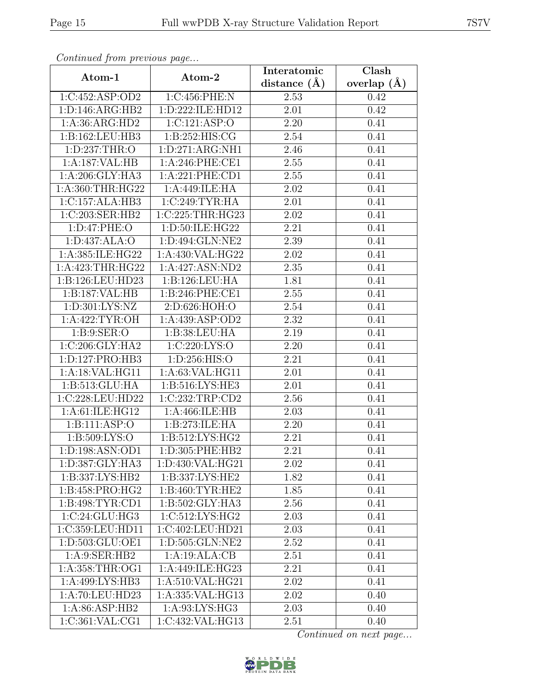| Continuum from protious page              |                     | Interatomic    | Clash             |  |
|-------------------------------------------|---------------------|----------------|-------------------|--|
| Atom-1                                    | Atom-2              | distance $(A)$ | overlap $(\AA)$   |  |
| 1:C:452:ASP:OD2                           | 1:C:456:PHE:N       | 2.53           | 0.42              |  |
| 1: D: 146: ARG: HB2                       | 1:D:222:ILE:HD12    | 2.01           | 0.42              |  |
| 1:A:36:ARG:HD2                            | 1:C:121:ASP:O       | 2.20           | 0.41              |  |
| 1:B:162:LEU:HB3                           | 1: B: 252: HIS: CG  | 2.54           | 0.41              |  |
| 1:D:237:THR:O                             | 1: D:271: ARG:NH1   | 2.46           | 0.41              |  |
| 1:A:187:VAL:HB                            | $1: A:246:$ PHE:CE1 | 2.55           | 0.41              |  |
| 1: A:206: GLY: HA3                        | 1:A:221:PHE:CD1     | 2.55           | 0.41              |  |
| 1:A:360:THR:HG22                          | 1:A:449:ILE:HA      | 2.02           | 0.41              |  |
| 1:C:157:ALA:HB3                           | 1:C:249:TYR:HA      | 2.01           | 0.41              |  |
| 1:C:203:SER:HB2                           | 1:C:225:THR:HG23    | 2.02           | 0.41              |  |
| 1: D: 47: PHE: O                          | 1:D:50:ILE:HG22     | 2.21           | 0.41              |  |
| 1:D:437:ALA:O                             | 1:D:494:GLN:NE2     | 2.39           | 0.41              |  |
| 1:A:385:ILE:HG22                          | $1:$ A:430:VAL:HG22 | 2.02           | 0.41              |  |
| 1:A:423:THR:HG22                          | 1:A:427:ASN:ND2     | 2.35           | 0.41              |  |
| 1:B:126:LEU:HD23                          | 1:B:126:LEU:HA      | 1.81           | 0.41              |  |
| 1:B:187:VAL:HB                            | 1: B:246: PHE:CE1   | 2.55           | 0.41              |  |
| 1: D:301: LYS: NZ                         | 2:D:626:HOH:O       | 2.54           | 0.41              |  |
| 1:A:422:TYR:OH                            | 1:A:439:ASP:OD2     | 2.32           | 0.41              |  |
| 1: B: 9: SER: O                           | 1:B:38:LEU:HA       | 2.19           | 0.41              |  |
| 1:C:206:GLY:HA2                           | 1:C:220:LYS:O       | 2.20           | 0.41              |  |
| 1: D: 127: PRO: HB3                       | 1: D: 256: HIS: O   | 2.21           | 0.41              |  |
| 1:A:18:VAL:HG11                           | 1:A:63:VAL:HG11     | 2.01           | 0.41              |  |
| 1:B:513:GLU:HA                            | 1:B:516:LYS:HE3     | 2.01           | 0.41              |  |
| 1:C:228:LEU:HD22                          | 1:C:232:TRP:CD2     | 2.56           | 0.41              |  |
| 1: A:61: ILE: HG12                        | 1:A:466:ILE:HB      | 2.03           | 0.41              |  |
| $1: \overline{B:111:ASP:O}$               | 1:B:273:ILE:HA      | 2.20           | 0.41              |  |
| 1: B: 509: LYS: O                         | 1:B:512:LYS:HG2     | 2.21           | 0.41              |  |
| 1:D:198:ASN:OD1                           | 1:D:305:PHE:HB2     | 2.21           | 0.41              |  |
| 1:D:387:GLY:HA3                           | 1:D:430:VAL:HG21    | 2.02           | $\overline{0.41}$ |  |
| 1:B:337:LYS:HB2                           | 1:B:337:LYS:HE2     | 1.82           | 0.41              |  |
| 1:B:458:PRO:HG2                           | 1:B:460:TYR:HE2     | 1.85           | 0.41              |  |
| 1:B:498:TYR:CD1                           | 1:B:502:GLY:HA3     | 2.56           | 0.41              |  |
| $1:C:24:C\overline{\text{LU}:\text{HG}3}$ | 1:C:512:LYS:HG2     | 2.03           | 0.41              |  |
| 1:C:359:LEU:HD11                          | 1:C:402:LEU:HD21    | 2.03           | 0.41              |  |
| 1:D:503:GLU:OE1                           | 1:D:505:GLN:NE2     | 2.52           | 0.41              |  |
| 1: A:9: SER: HB2                          | 1:A:19:ALA:CB       | 2.51           | 0.41              |  |
| 1:A:358:THR:OG1                           | 1:A:449:ILE:HG23    | 2.21           | 0.41              |  |
| 1:A:499:LYS:HB3                           | 1:A:510:VAL:HG21    | 2.02           | 0.41              |  |
| 1:A:70:LEU:HD23                           | 1:A:335:VAL:HG13    | 2.02           | 0.40              |  |
| 1: A:86: ASP:HB2                          | 1:A:93:LYS:HG3      | 2.03           | 0.40              |  |
| 1:C:361:VAL:CG1                           | 1:C:432:VAL:HG13    | 2.51           | 0.40              |  |

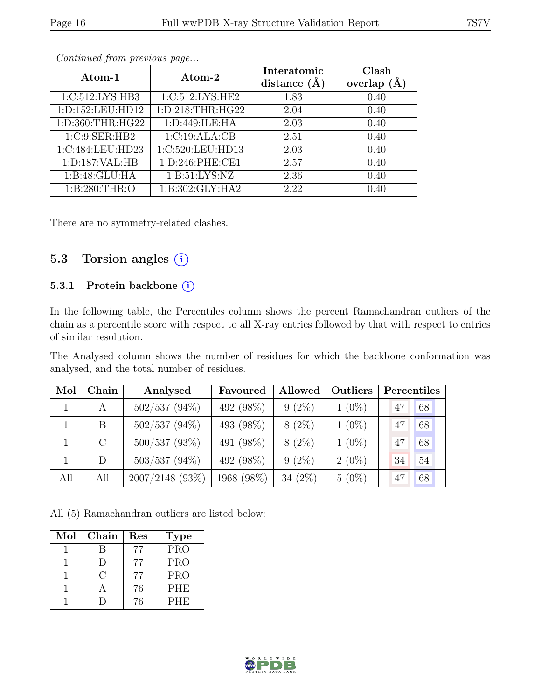|--|

| Atom-1             | Interatomic<br>Atom-2<br>distance $(A)$ |      | Clash<br>(A)<br>overlap |
|--------------------|-----------------------------------------|------|-------------------------|
| 1:C:512:LYS:HB3    | 1:C:512:LYS:HE2                         | 1.83 | 0.40                    |
| 1:D:152:LEU:HD12   | 1: D: 218: THR: HG22                    | 2.04 | 0.40                    |
| 1:D:360:THR:HG22   | 1:D:449:ILE:HA                          | 2.03 | 0.40                    |
| 1:C:9:SER:HB2      | 1:C:19:ALA:CB                           | 2.51 | 0.40                    |
| 1:C:484:LEU:HD23   | 1:C:520:LEU:HD13                        | 2.03 | 0.40                    |
| 1: D: 187: VAL: HB | 1:D:246:PHE:CE1                         | 2.57 | 0.40                    |
| 1:B:48:GLU:HA      | 1: B:51: LYS: NZ                        | 2.36 | 0.40                    |
| 1:B:280:THR:O      | 1:B:302:GLY:HA2                         | 2.22 | 0.40                    |

There are no symmetry-related clashes.

### 5.3 Torsion angles  $(i)$

#### 5.3.1 Protein backbone (i)

In the following table, the Percentiles column shows the percent Ramachandran outliers of the chain as a percentile score with respect to all X-ray entries followed by that with respect to entries of similar resolution.

The Analysed column shows the number of residues for which the backbone conformation was analysed, and the total number of residues.

| Mol | Chain         | Analysed          | Favoured   | Allowed    | Outliers | Percentiles |    |
|-----|---------------|-------------------|------------|------------|----------|-------------|----|
|     | A             | $502/537(94\%)$   | 492 (98%)  | $9(2\%)$   | $1(0\%)$ | 47          | 68 |
|     | B             | $502/537(94\%)$   | 493 (98%)  | $8(2\%)$   | $1(0\%)$ | 47          | 68 |
|     | $\mathcal{C}$ | $500/537$ (93%)   | 491 (98%)  | $8(2\%)$   | $1(0\%)$ | 47          | 68 |
|     | D             | $503/537$ (94%)   | 492 (98%)  | $9(2\%)$   | $2(0\%)$ | 34          | 54 |
| All | All           | $2007/2148$ (93%) | 1968 (98%) | 34 $(2\%)$ | $5(0\%)$ | 47          | 68 |

All (5) Ramachandran outliers are listed below:

| Mol | Chain | Res | <b>Type</b> |
|-----|-------|-----|-------------|
|     |       |     | <b>PRO</b>  |
|     |       |     | <b>PRO</b>  |
|     | ( )   | 77  | <b>PRO</b>  |
|     |       | 76  | <b>PHE</b>  |
|     |       | 76  | <b>PHE</b>  |

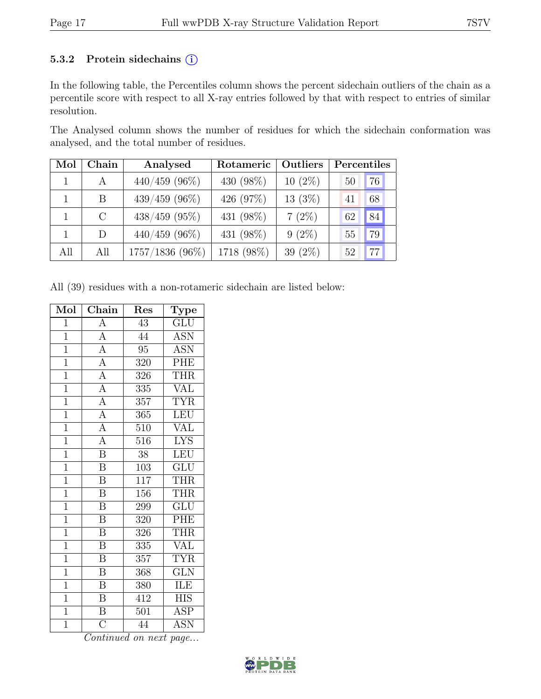#### 5.3.2 Protein sidechains (i)

In the following table, the Percentiles column shows the percent sidechain outliers of the chain as a percentile score with respect to all X-ray entries followed by that with respect to entries of similar resolution.

The Analysed column shows the number of residues for which the sidechain conformation was analysed, and the total number of residues.

| Mol | Chain        | Analysed        | Rotameric  | Outliers   | Percentiles |  |
|-----|--------------|-----------------|------------|------------|-------------|--|
|     | A            | $440/459$ (96%) | 430 (98%)  | $10(2\%)$  | 76<br>50    |  |
|     | <sub>B</sub> | $439/459$ (96%) | 426 (97%)  | 13(3%)     | 68<br>41    |  |
|     | $\rm C$      | $438/459$ (95%) | 431 (98%)  | $7(2\%)$   | 84<br>62    |  |
|     | D            | $440/459$ (96%) | 431 (98%)  | $9(2\%)$   | 79<br>55    |  |
| All | All          | 1757/1836 (96%) | 1718 (98%) | 39 $(2\%)$ | 77<br>52    |  |

All (39) residues with a non-rotameric sidechain are listed below:

| Mol            | $Chain$                 | Res              | Type                      |
|----------------|-------------------------|------------------|---------------------------|
| $\overline{1}$ | A                       | 43               | GLU                       |
| $\overline{1}$ | $\overline{\rm A}$      | 44               | <b>ASN</b>                |
| $\overline{1}$ | $\overline{A}$          | 95               | <b>ASN</b>                |
| $\overline{1}$ | $\overline{\rm A}$      | 320              | PHE                       |
| $\overline{1}$ | $\overline{A}$          | 326              | THR                       |
| $\overline{1}$ | $\overline{A}$          | 335              | <b>VAL</b>                |
| $\overline{1}$ | $\overline{A}$          | 357              | <b>TYR</b>                |
| $\overline{1}$ | Ā                       | 365              | LEU                       |
| $\overline{1}$ | $\overline{A}$          | $\overline{510}$ | <b>VAL</b>                |
| $\overline{1}$ | $\overline{A}$          | 516              | $\overline{\text{LYS}}$   |
| $\overline{1}$ | $\overline{\mathrm{B}}$ | 38               | <b>LEU</b>                |
| $\overline{1}$ | $\overline{\mathrm{B}}$ | $\overline{103}$ | $\overline{{\rm GLU}}$    |
| $\overline{1}$ | $\overline{\mathrm{B}}$ | 117              | <b>THR</b>                |
| $\overline{1}$ | $\overline{\mathrm{B}}$ | 156              | <b>THR</b>                |
| $\overline{1}$ | $\overline{\mathbf{B}}$ | 299              | GLU                       |
| $\overline{1}$ | $\overline{\mathrm{B}}$ | 320              | PHE                       |
| $\overline{1}$ | $\overline{\mathrm{B}}$ | 326              | <b>THR</b>                |
| $\mathbf{1}$   | $\boldsymbol{B}$        | 335              | VAL                       |
| $\overline{1}$ | $\overline{\mathrm{B}}$ | 357              | <b>TYR</b>                |
| $\overline{1}$ | B                       | 368              | <b>GLN</b>                |
| $\overline{1}$ | $\overline{\mathrm{B}}$ | 380              | ILE                       |
| $\overline{1}$ | $\overline{\mathrm{B}}$ | 412              | <b>HIS</b>                |
| $\overline{1}$ | $\overline{\mathrm{B}}$ | 501              | ASP                       |
| $\overline{1}$ | $\overline{\rm C}$      | 44               | $\overline{\mathrm{ASN}}$ |

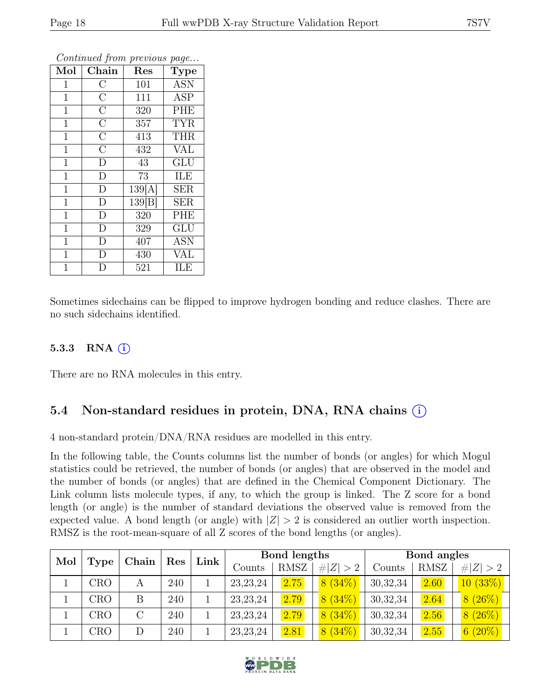| Mol            | Chain              | Res    | Type                    |
|----------------|--------------------|--------|-------------------------|
| $\mathbf{1}$   | $\mathcal{C}$      | 101    | <b>ASN</b>              |
| $\mathbf 1$    | $\overline{\rm C}$ | 111    | <b>ASP</b>              |
| $\mathbf{1}$   | $\overline{\rm C}$ | 320    | PHE                     |
| $\mathbf{1}$   | $\overline{\rm C}$ | 357    | <b>TYR</b>              |
| $\mathbf{1}$   | $\overline{\rm C}$ | 413    | THR                     |
| $\mathbf{1}$   | $\overline{C}$     | 432    | <b>VAL</b>              |
| $\mathbf{1}$   | D                  | 43     | $\overline{\text{GLU}}$ |
| $\mathbf{1}$   | $\mathbf{D}$       | 73     | ILE                     |
| $\mathbf{1}$   | D                  | 139[A] | <b>SER</b>              |
| $\mathbf 1$    | D                  | 139 B  | <b>SER</b>              |
| $\mathbf 1$    | D                  | 320    | PHE                     |
| $\mathbf{1}$   | $\overline{\rm D}$ | 329    | GLU                     |
| $\mathbf 1$    | D                  | 407    | <b>ASN</b>              |
| $\mathbf{1}$   | D                  | 430    | <b>VAL</b>              |
| $\overline{1}$ | D                  | 521    | ILE                     |

Sometimes sidechains can be flipped to improve hydrogen bonding and reduce clashes. There are no such sidechains identified.

#### 5.3.3 RNA  $(i)$

There are no RNA molecules in this entry.

### 5.4 Non-standard residues in protein, DNA, RNA chains (i)

4 non-standard protein/DNA/RNA residues are modelled in this entry.

In the following table, the Counts columns list the number of bonds (or angles) for which Mogul statistics could be retrieved, the number of bonds (or angles) that are observed in the model and the number of bonds (or angles) that are defined in the Chemical Component Dictionary. The Link column lists molecule types, if any, to which the group is linked. The Z score for a bond length (or angle) is the number of standard deviations the observed value is removed from the expected value. A bond length (or angle) with  $|Z| > 2$  is considered an outlier worth inspection. RMSZ is the root-mean-square of all Z scores of the bond lengths (or angles).

| Mol | Chain<br>Res |   | Link | Bond lengths |            |             | Bond angles |            |             |                         |
|-----|--------------|---|------|--------------|------------|-------------|-------------|------------|-------------|-------------------------|
|     | <b>Type</b>  |   |      |              | Counts     | <b>RMSZ</b> | # $ Z  > 2$ | Counts     | <b>RMSZ</b> | # $ Z  > 2$             |
|     | CRO          | А | 240  |              | 23, 23, 24 | 2.75        | $8(34\%)$   | 30, 32, 34 | 2.60        | 10(33%)                 |
|     | CRO          | В | 240  |              | 23, 23, 24 | 2.79        | $8(34\%)$   | 30,32,34   | 2.64        | 8(26%)                  |
|     | CRO          |   | 240  |              | 23, 23, 24 | 2.79        | $8(34\%)$   | 30, 32, 34 | 2.56        | (26%)<br>8 <sup>1</sup> |
|     | CRO          |   | 240  |              | 23, 23, 24 | 2.81        | $8(34\%)$   | 30, 32, 34 | 2.55        | $6(20\%)$               |

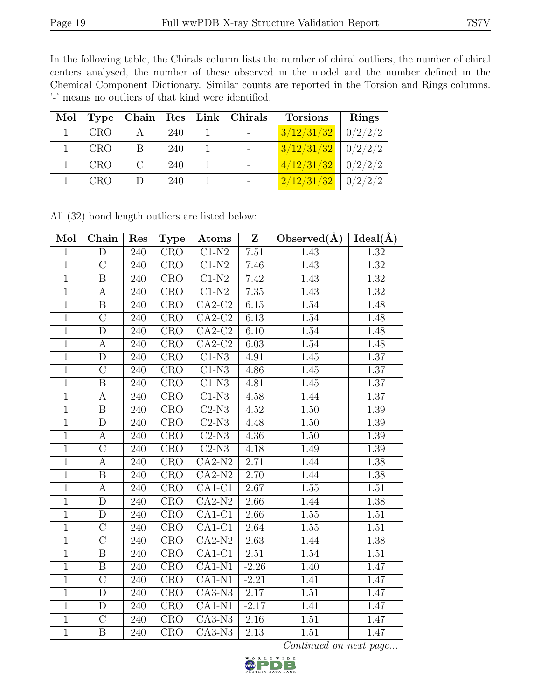In the following table, the Chirals column lists the number of chiral outliers, the number of chiral centers analysed, the number of these observed in the model and the number defined in the Chemical Component Dictionary. Similar counts are reported in the Torsion and Rings columns. '-' means no outliers of that kind were identified.

| Mol |            |   |     | Type   Chain   Res   Link   Chirals | <b>Torsions</b>          | <b>Rings</b> |
|-----|------------|---|-----|-------------------------------------|--------------------------|--------------|
|     | <b>CRO</b> |   | 240 |                                     | 3/12/31/32               | 0/2/2/2      |
|     | <b>CRO</b> | В | 240 |                                     | $3/12/31/32$   $0/2/2/2$ |              |
|     | <b>CRO</b> |   | 240 |                                     | 4/12/31/32               | 0/2/2/2      |
|     | CRO        |   | 240 |                                     | 2/12/31/32               | 0/2/2/2      |

| Mol            | Chain                   | Res | Type                      | Atoms                     | $\mathbf{Z}$ | Observed $(\AA)$ | $Ideal(\overline{A})$ |
|----------------|-------------------------|-----|---------------------------|---------------------------|--------------|------------------|-----------------------|
| $\mathbf{1}$   | D                       | 240 | CRO                       | $C1-N2$                   | $7.51\,$     | 1.43             | 1.32                  |
| $\mathbf{1}$   | $\overline{C}$          | 240 | $\overline{\text{CRO}}$   | $C1-N2$                   | 7.46         | 1.43             | 1.32                  |
| $\overline{1}$ | $\overline{B}$          | 240 | CRO                       | $C1-N2$                   | 7.42         | 1.43             | 1.32                  |
| $\mathbf{1}$   | $\mathbf{A}$            | 240 | CRO                       | $\overline{C1-N2}$        | 7.35         | 1.43             | 1.32                  |
| $\overline{1}$ | $\overline{B}$          | 240 | CRO                       | $\overline{CA2-C2}$       | 6.15         | 1.54             | 1.48                  |
| $\mathbf{1}$   | $\overline{\rm C}$      | 240 | <b>CRO</b>                | $CA2-C2$                  | 6.13         | 1.54             | 1.48                  |
| $\mathbf{1}$   | $\overline{\rm D}$      | 240 | <b>CRO</b>                | $CA2-C2$                  | 6.10         | 1.54             | 1.48                  |
| $\mathbf{1}$   | $\mathbf{A}$            | 240 | <b>CRO</b>                | $CA2-C2$                  | 6.03         | 1.54             | 1.48                  |
| $\mathbf{1}$   | D                       | 240 | <b>CRO</b>                | $C1-N3$                   | 4.91         | 1.45             | 1.37                  |
| $\mathbf{1}$   | $\overline{C}$          | 240 | CRO                       | $C1-N3$                   | 4.86         | 1.45             | 1.37                  |
| $\mathbf{1}$   | $\, {\bf B}$            | 240 | CRO                       | $C1-N3$                   | 4.81         | 1.45             | 1.37                  |
| $\overline{1}$ | А                       | 240 | CRO                       | $C1-N3$                   | 4.58         | 1.44             | 1.37                  |
| $\mathbf{1}$   | $\boldsymbol{B}$        | 240 | <b>CRO</b>                | $C2-N3$                   | 4.52         | 1.50             | 1.39                  |
| $\mathbf{1}$   | $\overline{\rm D}$      | 240 | $\overline{\mathrm{CRO}}$ | $C2-N3$                   | 4.48         | 1.50             | 1.39                  |
| $\mathbf{1}$   | A                       | 240 | CRO                       | $C2-N3$                   | 4.36         | 1.50             | 1.39                  |
| $\mathbf{1}$   | $\overline{C}$          | 240 | <b>CRO</b>                | $\overline{\text{C2-N3}}$ | 4.18         | 1.49             | 1.39                  |
| $\overline{1}$ | А                       | 240 | CRO                       | $CA2-N2$                  | 2.71         | 1.44             | 1.38                  |
| $\mathbf{1}$   | $\boldsymbol{B}$        | 240 | <b>CRO</b>                | $CA2-N2$                  | 2.70         | 1.44             | 1.38                  |
| $\overline{1}$ | A                       | 240 | <b>CRO</b>                | $CA1-C1$                  | 2.67         | 1.55             | 1.51                  |
| $\mathbf{1}$   | $\mathbf D$             | 240 | CRO                       | $\overline{CA2-N2}$       | 2.66         | 1.44             | 1.38                  |
| $\mathbf{1}$   | D                       | 240 | $\overline{\mathrm{CRO}}$ | $CA1-C1$                  | 2.66         | 1.55             | 1.51                  |
| $\overline{1}$ | $\overline{C}$          | 240 | CRO                       | $CA1-C1$                  | 2.64         | 1.55             | 1.51                  |
| $\mathbf{1}$   | $\overline{\rm C}$      | 240 | CRO                       | $\overline{CA2-N2}$       | 2.63         | 1.44             | 1.38                  |
| $\mathbf{1}$   | $\overline{\mathrm{B}}$ | 240 | $\overline{\text{CRO}}$   | $CA1-C1$                  | 2.51         | 1.54             | 1.51                  |
| $\mathbf{1}$   | $\overline{B}$          | 240 | CRO                       | $\overline{CA1-N1}$       | $-2.26$      | 1.40             | 1.47                  |
| $\mathbf{1}$   | $\overline{\rm C}$      | 240 | $\overline{\mathrm{CRO}}$ | $\overline{CA1-N1}$       | $-2.21$      | 1.41             | 1.47                  |
| $\mathbf{1}$   | $\mathbf D$             | 240 | CRO                       | $CA3-N3$                  | 2.17         | 1.51             | 1.47                  |
| $\mathbf{1}$   | D                       | 240 | <b>CRO</b>                | $CA1-N1$                  | $-2.17$      | 1.41             | 1.47                  |
| $\mathbf{1}$   | $\overline{C}$          | 240 | <b>CRO</b>                | $CA3-N3$                  | 2.16         | 1.51             | 1.47                  |
| $\mathbf{1}$   | $\mathbf{B}$            | 240 | <b>CRO</b>                | $CA3-N3$                  | 2.13         | 1.51             | 1.47                  |

All (32) bond length outliers are listed below:

Continued on next page...<br>  $\sum_{\text{of the part of } \text{max}}^{\text{R} \text{ to } \text{N}} \sum_{\text{of the part of } \text{max}}^{\text{D} \text{ to } \text{N}}$ 

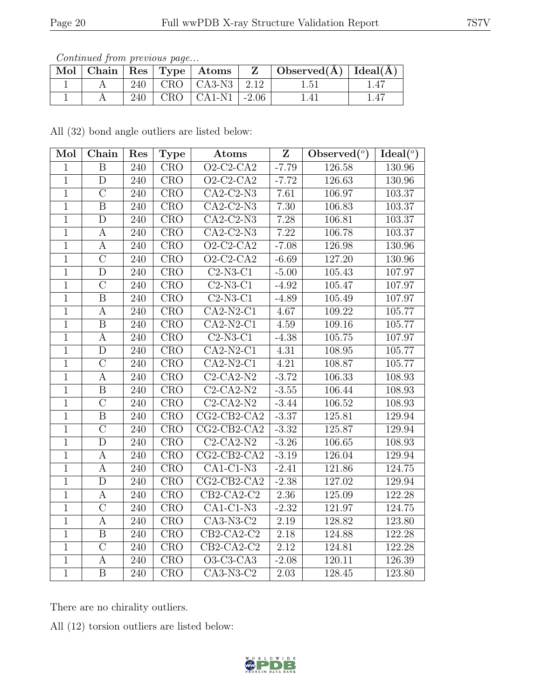Continued from previous page...

|  |  | $\Box$ Mol $\vert$ Chain $\vert$ Res $\vert$ Type $\vert$ Atoms $\vert$ | $\mathbf{Z}$ | $\mid$ Observed( $\AA$ ) $\mid$ Ideal( $\AA$ ) |  |
|--|--|-------------------------------------------------------------------------|--------------|------------------------------------------------|--|
|  |  | 240   CRO   CA3-N3   2.12                                               |              | $1.51\,$                                       |  |
|  |  | 240   CRO   CA1-N1   $-2.06$                                            |              | 1.41                                           |  |

All (32) bond angle outliers are listed below:

| Mol            | Chain                   | Res              | <b>Type</b>               | Atoms                   | $\overline{\mathbf{Z}}$ | Observed $(°)$ | Ideal $(°)$ |
|----------------|-------------------------|------------------|---------------------------|-------------------------|-------------------------|----------------|-------------|
| $\overline{1}$ | $\overline{B}$          | 240              | $\overline{\mathrm{CRO}}$ | $Q2-C2-CA2$             | $-7.79$                 | 126.58         | 130.96      |
| $\overline{1}$ | $\mathbf D$             | 240              | <b>CRO</b>                | $O2-C2-CA2$             | $-7.72$                 | 126.63         | 130.96      |
| $\overline{1}$ | $\mathcal{C}$           | 240              | CRO                       | $CA2-C2-N3$             | 7.61                    | 106.97         | 103.37      |
| $\overline{1}$ | $\overline{\mathbf{B}}$ | 240              | <b>CRO</b>                | $CA2-C2-N3$             | 7.30                    | 106.83         | 103.37      |
| $\overline{1}$ | $\overline{D}$          | 240              | CRO                       | $CA2-C2-N3$             | 7.28                    | 106.81         | 103.37      |
| $\mathbf{1}$   | $\boldsymbol{A}$        | 240              | <b>CRO</b>                | $\overline{CA2-C2-N3}$  | 7.22                    | 106.78         | 103.37      |
| $\overline{1}$ | А                       | 240              | CRO                       | $O2-C2-CA2$             | $-7.08$                 | 126.98         | 130.96      |
| $\mathbf{1}$   | $\overline{C}$          | 240              | $\overline{\text{CRO}}$   | $\overline{O2-C2-C}$ A2 | $-6.69$                 | 127.20         | 130.96      |
| $\overline{1}$ | $\mathbf D$             | 240              | $\overline{\text{CRO}}$   | $C2-N3-C1$              | $-5.00$                 | 105.43         | 107.97      |
| $\mathbf{1}$   | $\overline{C}$          | 240              | CRO                       | $C2-N3-C1$              | $-4.92$                 | 105.47         | $107.97\,$  |
| $\overline{1}$ | $\boldsymbol{B}$        | 240              | <b>CRO</b>                | $C2-N3-C1$              | $-4.89$                 | 105.49         | 107.97      |
| $\overline{1}$ | A                       | 240              | CRO                       | $CA2-N2-C1$             | 4.67                    | 109.22         | 105.77      |
| $\mathbf{1}$   | $\boldsymbol{B}$        | 240              | CRO                       | $CA2-N2-C1$             | 4.59                    | 109.16         | 105.77      |
| $\overline{1}$ | А                       | 240              | CRO                       | $C2-N3-C1$              | $-4.38$                 | 105.75         | 107.97      |
| $\mathbf{1}$   | $\mathbf D$             | 240              | <b>CRO</b>                | $CA2-N2-C1$             | 4.31                    | 108.95         | 105.77      |
| $\overline{1}$ | $\overline{C}$          | 240              | CRO                       | $CA2-N2-C1$             | 4.21                    | 108.87         | 105.77      |
| $\overline{1}$ | A                       | 240              | CRO                       | $C2-CA2-N2$             | $-3.72$                 | 106.33         | 108.93      |
| $\overline{1}$ | $\, {\bf B}$            | 240              | CRO                       | $C2-CA2-N2$             | $-3.55$                 | 106.44         | 108.93      |
| $\overline{1}$ | $\overline{C}$          | 240              | <b>CRO</b>                | $C2-CA2-N2$             | $-3.44$                 | 106.52         | 108.93      |
| $\overline{1}$ | $\boldsymbol{B}$        | 240              | <b>CRO</b>                | $CG2-CB2-CA2$           | $-3.37$                 | 125.81         | 129.94      |
| $\overline{1}$ | $\overline{\rm C}$      | $\overline{240}$ | CRO                       | $CG2-CB2-CA2$           | $-3.32$                 | 125.87         | 129.94      |
| $\mathbf{1}$   | $\mathbf D$             | 240              | <b>CRO</b>                | $C2-CA2-N2$             | $-3.26$                 | 106.65         | 108.93      |
| $\overline{1}$ | A                       | 240              | CRO                       | $CG2-CB2-CA2$           | $-3.19$                 | 126.04         | 129.94      |
| $\mathbf{1}$   | A                       | 240              | <b>CRO</b>                | $CA1-C1-N3$             | $-2.41$                 | 121.86         | 124.75      |
| $\mathbf{1}$   | D                       | 240              | CRO                       | $CG2-CB2-CA2$           | $-2.38$                 | 127.02         | 129.94      |
| $\overline{1}$ | A                       | 240              | <b>CRO</b>                | $CB2-CA2-C2$            | 2.36                    | 125.09         | 122.28      |
| $\mathbf{1}$   | $\mathcal{C}$           | 240              | CRO                       | $CA1-C1-N3$             | $-2.32$                 | 121.97         | 124.75      |
| $\mathbf{1}$   | A                       | 240              | <b>CRO</b>                | $\overline{CA3-N3-C2}$  | 2.19                    | 128.82         | 123.80      |
| $\overline{1}$ | $\overline{B}$          | 240              | CRO                       | $CB2-CA2-C2$            | 2.18                    | 124.88         | 122.28      |
| $\mathbf{1}$   | $\mathcal{C}$           | 240              | $\overline{\text{CRO}}$   | $CB2-CA2-C2$            | 2.12                    | 124.81         | 122.28      |
| $\mathbf{1}$   | A                       | 240              | <b>CRO</b>                | O3-C3-CA3               | $-2.08$                 | 120.11         | 126.39      |
| $\overline{1}$ | $\, {\bf B}$            | 240              | <b>CRO</b>                | $CA3-N3-C2$             | 2.03                    | 128.45         | 123.80      |

There are no chirality outliers.

All (12) torsion outliers are listed below:

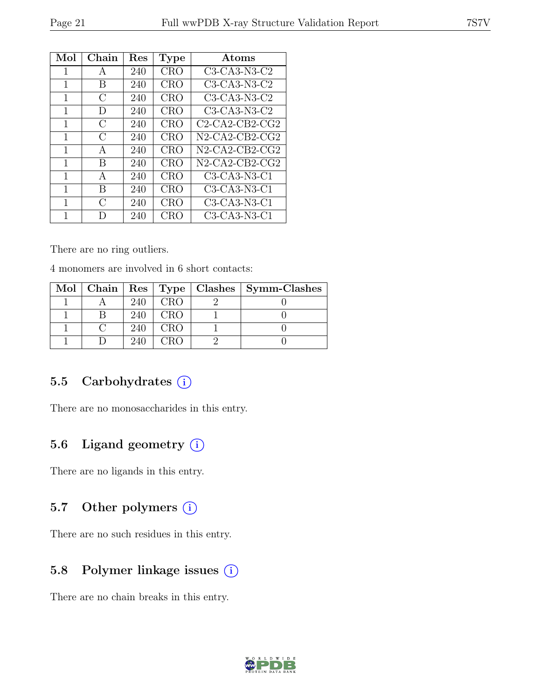| Mol | Chain         | $\operatorname{Res}% \left( \mathcal{N}\right) \equiv\operatorname*{Res}\left( \mathcal{N}\right)$ | <b>Type</b> | Atoms             |
|-----|---------------|----------------------------------------------------------------------------------------------------|-------------|-------------------|
| 1   | A             | 240                                                                                                | <b>CRO</b>  | $C3-CA3-N3-C2$    |
| 1   | B             | 240                                                                                                | <b>CRO</b>  | $C3-CA3-N3-C2$    |
| 1   | $\mathcal{C}$ | 240                                                                                                | <b>CRO</b>  | C3-CA3-N3-C2      |
| 1   | Ð             | 240                                                                                                | <b>CRO</b>  | C3-CA3-N3-C2      |
| 1   | $\bigcap$     | 240                                                                                                | <b>CRO</b>  | $C2-CA2-CB2-CG2$  |
| 1   | C             | 240                                                                                                | <b>CRO</b>  | $N2$ -CA2-CB2-CG2 |
| 1   | A             | 240                                                                                                | <b>CRO</b>  | $N2$ -CA2-CB2-CG2 |
| 1   | B             | 240                                                                                                | <b>CRO</b>  | $N2$ -CA2-CB2-CG2 |
| 1   | А             | 240                                                                                                | <b>CRO</b>  | C3-CA3-N3-C1      |
| 1   | B             | 240                                                                                                | <b>CRO</b>  | C3-CA3-N3-C1      |
| 1   | $\bigcap$     | 240                                                                                                | <b>CRO</b>  | $C3-CA3-N3-C1$    |
| 1   | $\Box$        | 240                                                                                                | CRO         | $C3-CA3-N3-C1$    |

There are no ring outliers.

4 monomers are involved in 6 short contacts:

|  |     |            | Mol   Chain   Res   Type   Clashes   Symm-Clashes |
|--|-----|------------|---------------------------------------------------|
|  | 240 | <b>CRO</b> |                                                   |
|  | 240 | <b>CRO</b> |                                                   |
|  | 240 | <b>CRO</b> |                                                   |
|  | 240 |            |                                                   |

### 5.5 Carbohydrates  $(i)$

There are no monosaccharides in this entry.

## 5.6 Ligand geometry  $(i)$

There are no ligands in this entry.

### 5.7 Other polymers (i)

There are no such residues in this entry.

## 5.8 Polymer linkage issues  $(i)$

There are no chain breaks in this entry.

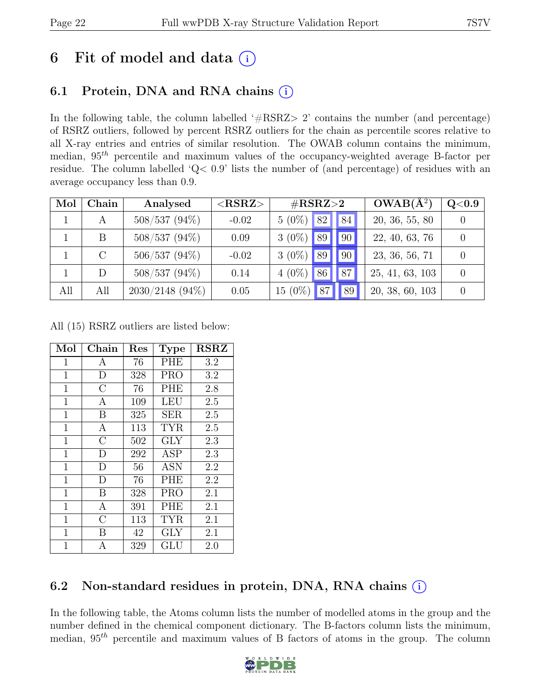## 6 Fit of model and data  $(i)$

## 6.1 Protein, DNA and RNA chains (i)

In the following table, the column labelled  $#RSRZ>2$  contains the number (and percentage) of RSRZ outliers, followed by percent RSRZ outliers for the chain as percentile scores relative to all X-ray entries and entries of similar resolution. The OWAB column contains the minimum, median,  $95<sup>th</sup>$  percentile and maximum values of the occupancy-weighted average B-factor per residue. The column labelled 'Q< 0.9' lists the number of (and percentage) of residues with an average occupancy less than 0.9.

| Mol | Chain         | Analysed           | ${ <\hspace{-1.5pt}{\mathrm{RSRZ}} \hspace{-1.5pt}>}$ | $\#\text{RSRZ}{>}2$                          | $OWAB(A^2)$     | Q <sub>0.9</sub> |
|-----|---------------|--------------------|-------------------------------------------------------|----------------------------------------------|-----------------|------------------|
|     | А             | $508/537(94\%)$    | $-0.02$                                               | $5(0\%)$<br>82<br> 84                        | 20, 36, 55, 80  |                  |
|     | B             | $508/537(94\%)$    | 0.09                                                  | $3(0\%)$<br> 90 <br>89                       | 22, 40, 63, 76  |                  |
|     | $\mathcal{C}$ | $506/537(94\%)$    | $-0.02$                                               | $3(0\%)$<br>89<br>$^{\prime}$ 90 $^{\prime}$ | 23, 36, 56, 71  |                  |
|     | D             | $508/537(94\%)$    | 0.14                                                  | 87 <br>$4(0\%)$<br>86                        | 25, 41, 63, 103 |                  |
| All | All           | $2030/2148$ (94\%) | 0.05                                                  | $15(0\%)$<br>89                              | 20, 38, 60, 103 |                  |

All (15) RSRZ outliers are listed below:

| Mol          | Chain              | $\operatorname{Res}% \left( \mathcal{N}\right) \equiv\operatorname{Res}(\mathcal{N}_{0},\mathcal{N}_{0})$ | <b>Type</b> | <b>RSRZ</b> |
|--------------|--------------------|-----------------------------------------------------------------------------------------------------------|-------------|-------------|
| 1            | Α                  | 76                                                                                                        | <b>PHE</b>  | 3.2         |
| $\mathbf 1$  | D                  | 328                                                                                                       | <b>PRO</b>  | 3.2         |
| $\mathbf 1$  | $\overline{\rm C}$ | 76                                                                                                        | <b>PHE</b>  | 2.8         |
| $\mathbf 1$  | A                  | 109                                                                                                       | LEU         | 2.5         |
| $\mathbf{1}$ | B                  | 325                                                                                                       | <b>SER</b>  | 2.5         |
| 1            | $\mathbf{A}$       | 113                                                                                                       | <b>TYR</b>  | 2.5         |
| $\mathbf{1}$ | $\overline{C}$     | 502                                                                                                       | <b>GLY</b>  | 2.3         |
| $\mathbf 1$  | D                  | 292                                                                                                       | <b>ASP</b>  | 2.3         |
| $\mathbf 1$  | D                  | 56                                                                                                        | <b>ASN</b>  | 2.2         |
| $\mathbf{1}$ | D                  | 76                                                                                                        | PHE         | 2.2         |
| $\mathbf{1}$ | B                  | 328                                                                                                       | <b>PRO</b>  | 2.1         |
| $\mathbf 1$  | A                  | 391                                                                                                       | <b>PHE</b>  | 2.1         |
| 1            | $\overline{C}$     | 113                                                                                                       | <b>TYR</b>  | 2.1         |
| $\mathbf 1$  | B                  | 42                                                                                                        | <b>GLY</b>  | 2.1         |
| 1            | А                  | 329                                                                                                       | GLU         | 2.0         |

## 6.2 Non-standard residues in protein, DNA, RNA chains (i)

In the following table, the Atoms column lists the number of modelled atoms in the group and the number defined in the chemical component dictionary. The B-factors column lists the minimum, median,  $95<sup>th</sup>$  percentile and maximum values of B factors of atoms in the group. The column